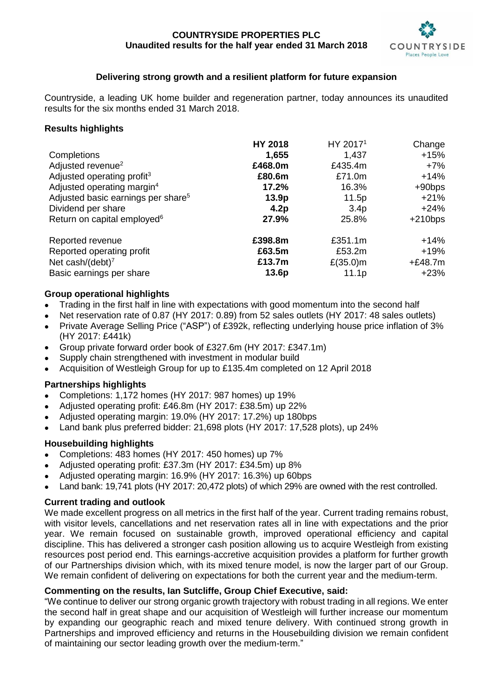

# **Delivering strong growth and a resilient platform for future expansion**

Countryside, a leading UK home builder and regeneration partner, today announces its unaudited results for the six months ended 31 March 2018.

# **Results highlights**

|                                                | <b>HY 2018</b>    | HY 2017 <sup>1</sup> | Change    |
|------------------------------------------------|-------------------|----------------------|-----------|
| Completions                                    | 1,655             | 1,437                | $+15%$    |
| Adjusted revenue <sup>2</sup>                  | £468.0m           | £435.4m              | $+7%$     |
| Adjusted operating profit <sup>3</sup>         | £80.6m            | £71.0m               | $+14%$    |
| Adjusted operating margin <sup>4</sup>         | 17.2%             | 16.3%                | $+90$ bps |
| Adjusted basic earnings per share <sup>5</sup> | 13.9 <sub>p</sub> | 11.5p                | $+21%$    |
| Dividend per share                             | 4.2 <sub>p</sub>  | 3.4 <sub>p</sub>     | $+24%$    |
| Return on capital employed <sup>6</sup>        | 27.9%             | 25.8%                | $+210bps$ |
| Reported revenue                               | £398.8m           | £351.1m              | $+14%$    |
| Reported operating profit                      | £63.5m            | £53.2m               | $+19%$    |
| Net cash/(debt) <sup>7</sup>                   | £13.7m            | £ $(35.0)$ m         | $+£48.7m$ |
| Basic earnings per share                       | 13.6p             | 11.1p                | $+23%$    |

# **Group operational highlights**

- Trading in the first half in line with expectations with good momentum into the second half
- Net reservation rate of 0.87 (HY 2017: 0.89) from 52 sales outlets (HY 2017: 48 sales outlets)
- Private Average Selling Price ("ASP") of £392k, reflecting underlying house price inflation of 3% (HY 2017: £441k)
- Group private forward order book of £327.6m (HY 2017: £347.1m)
- Supply chain strengthened with investment in modular build
- Acquisition of Westleigh Group for up to £135.4m completed on 12 April 2018

# **Partnerships highlights**

- Completions: 1,172 homes (HY 2017: 987 homes) up 19%
- Adjusted operating profit: £46.8m (HY 2017: £38.5m) up 22%
- Adjusted operating margin: 19.0% (HY 2017: 17.2%) up 180bps
- Land bank plus preferred bidder: 21,698 plots (HY 2017: 17,528 plots), up 24%

# **Housebuilding highlights**

- Completions: 483 homes (HY 2017: 450 homes) up 7%
- Adjusted operating profit: £37.3m (HY 2017: £34.5m) up 8%
- Adjusted operating margin: 16.9% (HY 2017: 16.3%) up 60bps
- Land bank: 19,741 plots (HY 2017: 20,472 plots) of which 29% are owned with the rest controlled.

# **Current trading and outlook**

We made excellent progress on all metrics in the first half of the year. Current trading remains robust, with visitor levels, cancellations and net reservation rates all in line with expectations and the prior year. We remain focused on sustainable growth, improved operational efficiency and capital discipline. This has delivered a stronger cash position allowing us to acquire Westleigh from existing resources post period end. This earnings-accretive acquisition provides a platform for further growth of our Partnerships division which, with its mixed tenure model, is now the larger part of our Group. We remain confident of delivering on expectations for both the current year and the medium-term.

# **Commenting on the results, Ian Sutcliffe, Group Chief Executive, said:**

"We continue to deliver our strong organic growth trajectory with robust trading in all regions. We enter the second half in great shape and our acquisition of Westleigh will further increase our momentum by expanding our geographic reach and mixed tenure delivery. With continued strong growth in Partnerships and improved efficiency and returns in the Housebuilding division we remain confident of maintaining our sector leading growth over the medium-term."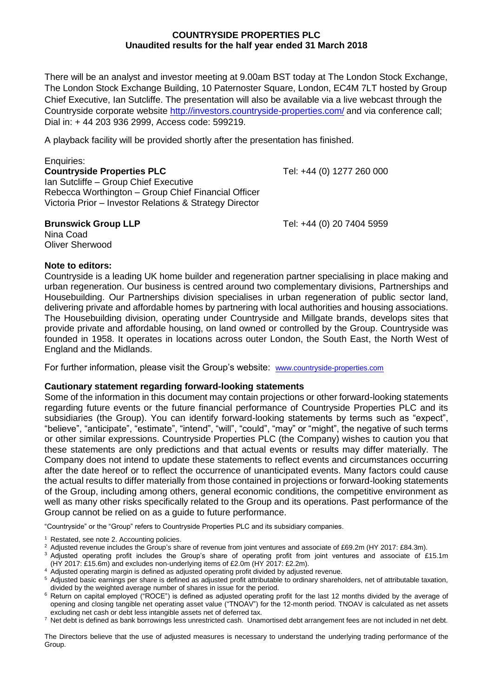There will be an analyst and investor meeting at 9.00am BST today at The London Stock Exchange, The London Stock Exchange Building, 10 Paternoster Square, London, EC4M 7LT hosted by Group Chief Executive, Ian Sutcliffe. The presentation will also be available via a live webcast through the Countryside corporate website<http://investors.countryside-properties.com/> and via conference call; Dial in: + 44 203 936 2999, Access code: 599219.

A playback facility will be provided shortly after the presentation has finished.

# Enquiries:

**Countryside Properties PLC** Tel: +44 (0) 1277 260 000 Ian Sutcliffe – Group Chief Executive Rebecca Worthington – Group Chief Financial Officer Victoria Prior – Investor Relations & Strategy Director

Nina Coad Oliver Sherwood

**Brunswick Group LLP**  Tel: +44 (0) 20 7404 5959

# **Note to editors:**

Countryside is a leading UK home builder and regeneration partner specialising in place making and urban regeneration. Our business is centred around two complementary divisions, Partnerships and Housebuilding. Our Partnerships division specialises in urban regeneration of public sector land, delivering private and affordable homes by partnering with local authorities and housing associations. The Housebuilding division, operating under Countryside and Millgate brands, develops sites that provide private and affordable housing, on land owned or controlled by the Group. Countryside was founded in 1958. It operates in locations across outer London, the South East, the North West of England and the Midlands.

For further information, please visit the Group's website: [www.countryside-properties.com](http://www.countryside-properties.com/)

# **Cautionary statement regarding forward-looking statements**

Some of the information in this document may contain projections or other forward-looking statements regarding future events or the future financial performance of Countryside Properties PLC and its subsidiaries (the Group). You can identify forward-looking statements by terms such as "expect", "believe", "anticipate", "estimate", "intend", "will", "could", "may" or "might", the negative of such terms or other similar expressions. Countryside Properties PLC (the Company) wishes to caution you that these statements are only predictions and that actual events or results may differ materially. The Company does not intend to update these statements to reflect events and circumstances occurring after the date hereof or to reflect the occurrence of unanticipated events. Many factors could cause the actual results to differ materially from those contained in projections or forward-looking statements of the Group, including among others, general economic conditions, the competitive environment as well as many other risks specifically related to the Group and its operations. Past performance of the Group cannot be relied on as a guide to future performance.

"Countryside" or the "Group" refers to Countryside Properties PLC and its subsidiary companies.

<sup>4</sup> Adjusted operating margin is defined as adjusted operating profit divided by adjusted revenue.

- <sup>6</sup> Return on capital employed ("ROCE") is defined as adjusted operating profit for the last 12 months divided by the average of opening and closing tangible net operating asset value ("TNOAV") for the 12-month period. TNOAV is calculated as net assets excluding net cash or debt less intangible assets net of deferred tax.
- $7$  Net debt is defined as bank borrowings less unrestricted cash. Unamortised debt arrangement fees are not included in net debt.

The Directors believe that the use of adjusted measures is necessary to understand the underlying trading performance of the Group.

<sup>&</sup>lt;sup>1</sup> Restated, see note 2. Accounting policies.

<sup>&</sup>lt;sup>2</sup> Adjusted revenue includes the Group's share of revenue from joint ventures and associate of £69.2m (HY 2017: £84.3m).

<sup>&</sup>lt;sup>3</sup> Adjusted operating profit includes the Group's share of operating profit from joint ventures and associate of £15.1m (HY 2017: £15.6m) and excludes non-underlying items of £2.0m (HY 2017: £2.2m).

<sup>5</sup> Adjusted basic earnings per share is defined as adjusted profit attributable to ordinary shareholders, net of attributable taxation, divided by the weighted average number of shares in issue for the period.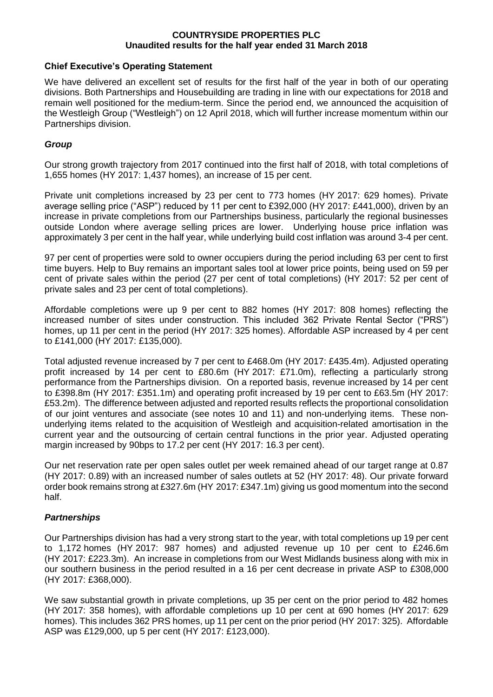# **Chief Executive's Operating Statement**

We have delivered an excellent set of results for the first half of the year in both of our operating divisions. Both Partnerships and Housebuilding are trading in line with our expectations for 2018 and remain well positioned for the medium-term. Since the period end, we announced the acquisition of the Westleigh Group ("Westleigh") on 12 April 2018, which will further increase momentum within our Partnerships division.

# *Group*

Our strong growth trajectory from 2017 continued into the first half of 2018, with total completions of 1,655 homes (HY 2017: 1,437 homes), an increase of 15 per cent.

Private unit completions increased by 23 per cent to 773 homes (HY 2017: 629 homes). Private average selling price ("ASP") reduced by 11 per cent to £392,000 (HY 2017: £441,000), driven by an increase in private completions from our Partnerships business, particularly the regional businesses outside London where average selling prices are lower. Underlying house price inflation was approximately 3 per cent in the half year, while underlying build cost inflation was around 3-4 per cent.

97 per cent of properties were sold to owner occupiers during the period including 63 per cent to first time buyers. Help to Buy remains an important sales tool at lower price points, being used on 59 per cent of private sales within the period (27 per cent of total completions) (HY 2017: 52 per cent of private sales and 23 per cent of total completions).

Affordable completions were up 9 per cent to 882 homes (HY 2017: 808 homes) reflecting the increased number of sites under construction. This included 362 Private Rental Sector ("PRS") homes, up 11 per cent in the period (HY 2017: 325 homes). Affordable ASP increased by 4 per cent to £141,000 (HY 2017: £135,000).

Total adjusted revenue increased by 7 per cent to £468.0m (HY 2017: £435.4m). Adjusted operating profit increased by 14 per cent to £80.6m (HY 2017: £71.0m), reflecting a particularly strong performance from the Partnerships division. On a reported basis, revenue increased by 14 per cent to £398.8m (HY 2017: £351.1m) and operating profit increased by 19 per cent to £63.5m (HY 2017: £53.2m). The difference between adjusted and reported results reflects the proportional consolidation of our joint ventures and associate (see notes 10 and 11) and non-underlying items. These nonunderlying items related to the acquisition of Westleigh and acquisition-related amortisation in the current year and the outsourcing of certain central functions in the prior year. Adjusted operating margin increased by 90bps to 17.2 per cent (HY 2017: 16.3 per cent).

Our net reservation rate per open sales outlet per week remained ahead of our target range at 0.87 (HY 2017: 0.89) with an increased number of sales outlets at 52 (HY 2017: 48). Our private forward order book remains strong at £327.6m (HY 2017: £347.1m) giving us good momentum into the second half.

# *Partnerships*

Our Partnerships division has had a very strong start to the year, with total completions up 19 per cent to 1,172 homes (HY 2017: 987 homes) and adjusted revenue up 10 per cent to £246.6m (HY 2017: £223.3m). An increase in completions from our West Midlands business along with mix in our southern business in the period resulted in a 16 per cent decrease in private ASP to £308,000 (HY 2017: £368,000).

We saw substantial growth in private completions, up 35 per cent on the prior period to 482 homes (HY 2017: 358 homes), with affordable completions up 10 per cent at 690 homes (HY 2017: 629 homes). This includes 362 PRS homes, up 11 per cent on the prior period (HY 2017: 325). Affordable ASP was £129,000, up 5 per cent (HY 2017: £123,000).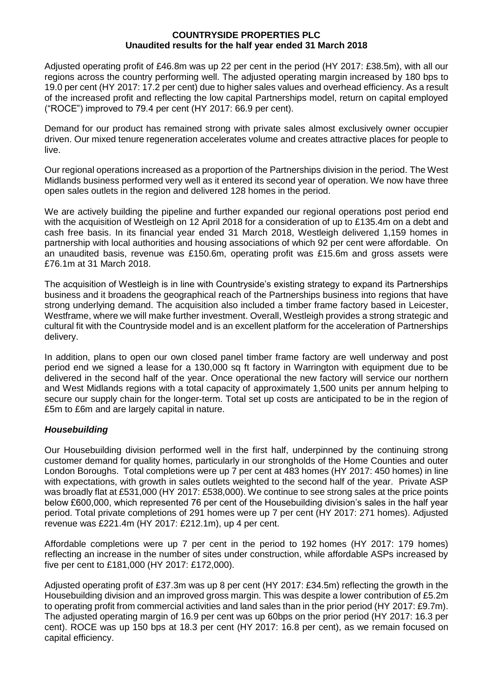Adjusted operating profit of £46.8m was up 22 per cent in the period (HY 2017: £38.5m), with all our regions across the country performing well. The adjusted operating margin increased by 180 bps to 19.0 per cent (HY 2017: 17.2 per cent) due to higher sales values and overhead efficiency. As a result of the increased profit and reflecting the low capital Partnerships model, return on capital employed ("ROCE") improved to 79.4 per cent (HY 2017: 66.9 per cent).

Demand for our product has remained strong with private sales almost exclusively owner occupier driven. Our mixed tenure regeneration accelerates volume and creates attractive places for people to live.

Our regional operations increased as a proportion of the Partnerships division in the period. The West Midlands business performed very well as it entered its second year of operation. We now have three open sales outlets in the region and delivered 128 homes in the period.

We are actively building the pipeline and further expanded our regional operations post period end with the acquisition of Westleigh on 12 April 2018 for a consideration of up to £135.4m on a debt and cash free basis. In its financial year ended 31 March 2018, Westleigh delivered 1,159 homes in partnership with local authorities and housing associations of which 92 per cent were affordable. On an unaudited basis, revenue was £150.6m, operating profit was £15.6m and gross assets were £76.1m at 31 March 2018.

The acquisition of Westleigh is in line with Countryside's existing strategy to expand its Partnerships business and it broadens the geographical reach of the Partnerships business into regions that have strong underlying demand. The acquisition also included a timber frame factory based in Leicester, Westframe, where we will make further investment. Overall, Westleigh provides a strong strategic and cultural fit with the Countryside model and is an excellent platform for the acceleration of Partnerships delivery.

In addition, plans to open our own closed panel timber frame factory are well underway and post period end we signed a lease for a 130,000 sq ft factory in Warrington with equipment due to be delivered in the second half of the year. Once operational the new factory will service our northern and West Midlands regions with a total capacity of approximately 1,500 units per annum helping to secure our supply chain for the longer-term. Total set up costs are anticipated to be in the region of £5m to £6m and are largely capital in nature.

# *Housebuilding*

Our Housebuilding division performed well in the first half, underpinned by the continuing strong customer demand for quality homes, particularly in our strongholds of the Home Counties and outer London Boroughs. Total completions were up 7 per cent at 483 homes (HY 2017: 450 homes) in line with expectations, with growth in sales outlets weighted to the second half of the year. Private ASP was broadly flat at £531,000 (HY 2017: £538,000). We continue to see strong sales at the price points below £600,000, which represented 76 per cent of the Housebuilding division's sales in the half year period. Total private completions of 291 homes were up 7 per cent (HY 2017: 271 homes). Adjusted revenue was £221.4m (HY 2017: £212.1m), up 4 per cent.

Affordable completions were up 7 per cent in the period to 192 homes (HY 2017: 179 homes) reflecting an increase in the number of sites under construction, while affordable ASPs increased by five per cent to £181,000 (HY 2017: £172,000).

Adjusted operating profit of £37.3m was up 8 per cent (HY 2017: £34.5m) reflecting the growth in the Housebuilding division and an improved gross margin. This was despite a lower contribution of £5.2m to operating profit from commercial activities and land sales than in the prior period (HY 2017: £9.7m). The adjusted operating margin of 16.9 per cent was up 60bps on the prior period (HY 2017: 16.3 per cent). ROCE was up 150 bps at 18.3 per cent (HY 2017: 16.8 per cent), as we remain focused on capital efficiency.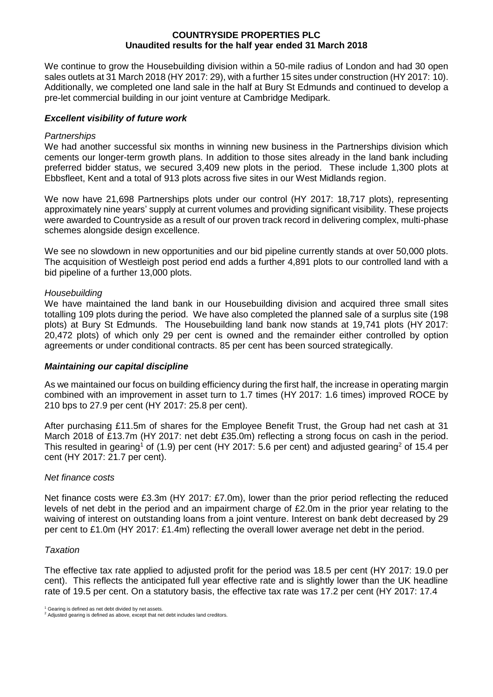We continue to grow the Housebuilding division within a 50-mile radius of London and had 30 open sales outlets at 31 March 2018 (HY 2017: 29), with a further 15 sites under construction (HY 2017: 10). Additionally, we completed one land sale in the half at Bury St Edmunds and continued to develop a pre-let commercial building in our joint venture at Cambridge Medipark.

# *Excellent visibility of future work*

# *Partnerships*

We had another successful six months in winning new business in the Partnerships division which cements our longer-term growth plans. In addition to those sites already in the land bank including preferred bidder status, we secured 3,409 new plots in the period. These include 1,300 plots at Ebbsfleet, Kent and a total of 913 plots across five sites in our West Midlands region.

We now have 21,698 Partnerships plots under our control (HY 2017: 18,717 plots), representing approximately nine years' supply at current volumes and providing significant visibility. These projects were awarded to Countryside as a result of our proven track record in delivering complex, multi-phase schemes alongside design excellence.

We see no slowdown in new opportunities and our bid pipeline currently stands at over 50,000 plots. The acquisition of Westleigh post period end adds a further 4,891 plots to our controlled land with a bid pipeline of a further 13,000 plots.

# *Housebuilding*

We have maintained the land bank in our Housebuilding division and acquired three small sites totalling 109 plots during the period. We have also completed the planned sale of a surplus site (198 plots) at Bury St Edmunds. The Housebuilding land bank now stands at 19,741 plots (HY 2017: 20,472 plots) of which only 29 per cent is owned and the remainder either controlled by option agreements or under conditional contracts. 85 per cent has been sourced strategically.

# *Maintaining our capital discipline*

As we maintained our focus on building efficiency during the first half, the increase in operating margin combined with an improvement in asset turn to 1.7 times (HY 2017: 1.6 times) improved ROCE by 210 bps to 27.9 per cent (HY 2017: 25.8 per cent).

After purchasing £11.5m of shares for the Employee Benefit Trust, the Group had net cash at 31 March 2018 of £13.7m (HY 2017: net debt £35.0m) reflecting a strong focus on cash in the period. This resulted in gearing<sup>1</sup> of (1.9) per cent (HY 2017: 5.6 per cent) and adjusted gearing<sup>2</sup> of 15.4 per cent (HY 2017: 21.7 per cent).

# *Net finance costs*

Net finance costs were £3.3m (HY 2017: £7.0m), lower than the prior period reflecting the reduced levels of net debt in the period and an impairment charge of £2.0m in the prior year relating to the waiving of interest on outstanding loans from a joint venture. Interest on bank debt decreased by 29 per cent to £1.0m (HY 2017: £1.4m) reflecting the overall lower average net debt in the period.

# *Taxation*

The effective tax rate applied to adjusted profit for the period was 18.5 per cent (HY 2017: 19.0 per cent). This reflects the anticipated full year effective rate and is slightly lower than the UK headline rate of 19.5 per cent. On a statutory basis, the effective tax rate was 17.2 per cent (HY 2017: 17.4

Gearing is defined as net debt divided by net assets.

<sup>&</sup>lt;sup>2</sup> Adjusted gearing is defined as above, except that net debt includes land creditors.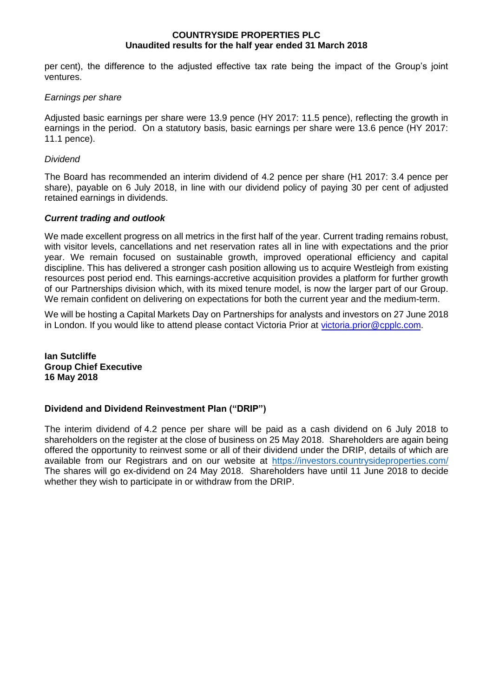per cent), the difference to the adjusted effective tax rate being the impact of the Group's joint ventures.

# *Earnings per share*

Adjusted basic earnings per share were 13.9 pence (HY 2017: 11.5 pence), reflecting the growth in earnings in the period. On a statutory basis, basic earnings per share were 13.6 pence (HY 2017: 11.1 pence).

# *Dividend*

The Board has recommended an interim dividend of 4.2 pence per share (H1 2017: 3.4 pence per share), payable on 6 July 2018, in line with our dividend policy of paying 30 per cent of adjusted retained earnings in dividends.

# *Current trading and outlook*

We made excellent progress on all metrics in the first half of the year. Current trading remains robust, with visitor levels, cancellations and net reservation rates all in line with expectations and the prior year. We remain focused on sustainable growth, improved operational efficiency and capital discipline. This has delivered a stronger cash position allowing us to acquire Westleigh from existing resources post period end. This earnings-accretive acquisition provides a platform for further growth of our Partnerships division which, with its mixed tenure model, is now the larger part of our Group. We remain confident on delivering on expectations for both the current year and the medium-term.

We will be hosting a Capital Markets Day on Partnerships for analysts and investors on 27 June 2018 in London. If you would like to attend please contact Victoria Prior at [victoria.prior@cpplc.com.](mailto:victoria.prior@cpplc.com) 

**Ian Sutcliffe Group Chief Executive 16 May 2018** 

# **Dividend and Dividend Reinvestment Plan ("DRIP")**

The interim dividend of 4.2 pence per share will be paid as a cash dividend on 6 July 2018 to shareholders on the register at the close of business on 25 May 2018. Shareholders are again being offered the opportunity to reinvest some or all of their dividend under the DRIP, details of which are available from our Registrars and on our website at https://[investors.countrysideproperties.com](https://investors.countrysideproperties.com/)/ The shares will go ex-dividend on 24 May 2018. Shareholders have until 11 June 2018 to decide whether they wish to participate in or withdraw from the DRIP.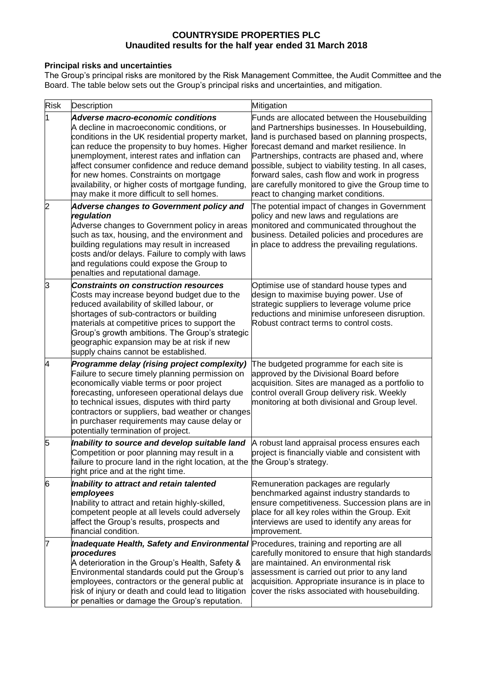# **Principal risks and uncertainties**

The Group's principal risks are monitored by the Risk Management Committee, the Audit Committee and the Board. The table below sets out the Group's principal risks and uncertainties, and mitigation.

| <b>Risk</b> | Description                                                                                                                                                                                                                                                                                                                                                                                                                          | Mitigation                                                                                                                                                                                                                                                                                                                                                                                                                                             |
|-------------|--------------------------------------------------------------------------------------------------------------------------------------------------------------------------------------------------------------------------------------------------------------------------------------------------------------------------------------------------------------------------------------------------------------------------------------|--------------------------------------------------------------------------------------------------------------------------------------------------------------------------------------------------------------------------------------------------------------------------------------------------------------------------------------------------------------------------------------------------------------------------------------------------------|
| 1           | Adverse macro-economic conditions<br>A decline in macroeconomic conditions, or<br>conditions in the UK residential property market,<br>can reduce the propensity to buy homes. Higher<br>unemployment, interest rates and inflation can<br>affect consumer confidence and reduce demand<br>for new homes. Constraints on mortgage<br>availability, or higher costs of mortgage funding,<br>may make it more difficult to sell homes. | Funds are allocated between the Housebuilding<br>and Partnerships businesses. In Housebuilding,<br>land is purchased based on planning prospects,<br>forecast demand and market resilience. In<br>Partnerships, contracts are phased and, where<br>possible, subject to viability testing. In all cases,<br>forward sales, cash flow and work in progress<br>are carefully monitored to give the Group time to<br>react to changing market conditions. |
| 2           | <b>Adverse changes to Government policy and</b><br>regulation<br>Adverse changes to Government policy in areas<br>such as tax, housing, and the environment and<br>building regulations may result in increased<br>costs and/or delays. Failure to comply with laws<br>and regulations could expose the Group to<br>penalties and reputational damage.                                                                               | The potential impact of changes in Government<br>policy and new laws and regulations are<br>monitored and communicated throughout the<br>business. Detailed policies and procedures are<br>in place to address the prevailing regulations.                                                                                                                                                                                                             |
| 3           | <b>Constraints on construction resources</b><br>Costs may increase beyond budget due to the<br>reduced availability of skilled labour, or<br>shortages of sub-contractors or building<br>materials at competitive prices to support the<br>Group's growth ambitions. The Group's strategic<br>geographic expansion may be at risk if new<br>supply chains cannot be established.                                                     | Optimise use of standard house types and<br>design to maximise buying power. Use of<br>strategic suppliers to leverage volume price<br>reductions and minimise unforeseen disruption.<br>Robust contract terms to control costs.                                                                                                                                                                                                                       |
| 4           | Programme delay (rising project complexity)<br>Failure to secure timely planning permission on<br>economically viable terms or poor project<br>forecasting, unforeseen operational delays due<br>to technical issues, disputes with third party<br>contractors or suppliers, bad weather or changes<br>in purchaser requirements may cause delay or<br>potentially termination of project.                                           | The budgeted programme for each site is<br>approved by the Divisional Board before<br>acquisition. Sites are managed as a portfolio to<br>control overall Group delivery risk. Weekly<br>monitoring at both divisional and Group level.                                                                                                                                                                                                                |
| 5           | Inability to source and develop suitable land<br>Competition or poor planning may result in a<br>failure to procure land in the right location, at the the Group's strategy.<br>right price and at the right time.                                                                                                                                                                                                                   | A robust land appraisal process ensures each<br>project is financially viable and consistent with                                                                                                                                                                                                                                                                                                                                                      |
| 6           | Inability to attract and retain talented<br>employees<br>Inability to attract and retain highly-skilled,<br>competent people at all levels could adversely<br>affect the Group's results, prospects and<br>financial condition.                                                                                                                                                                                                      | Remuneration packages are regularly<br>benchmarked against industry standards to<br>ensure competitiveness. Succession plans are in<br>place for all key roles within the Group. Exit<br>interviews are used to identify any areas for<br>improvement.                                                                                                                                                                                                 |
| 17          | Inadequate Health, Safety and Environmental Procedures, training and reporting are all<br>procedures<br>A deterioration in the Group's Health, Safety &<br>Environmental standards could put the Group's<br>employees, contractors or the general public at<br>risk of injury or death and could lead to litigation<br>or penalties or damage the Group's reputation.                                                                | carefully monitored to ensure that high standards<br>are maintained. An environmental risk<br>assessment is carried out prior to any land<br>acquisition. Appropriate insurance is in place to<br>cover the risks associated with housebuilding.                                                                                                                                                                                                       |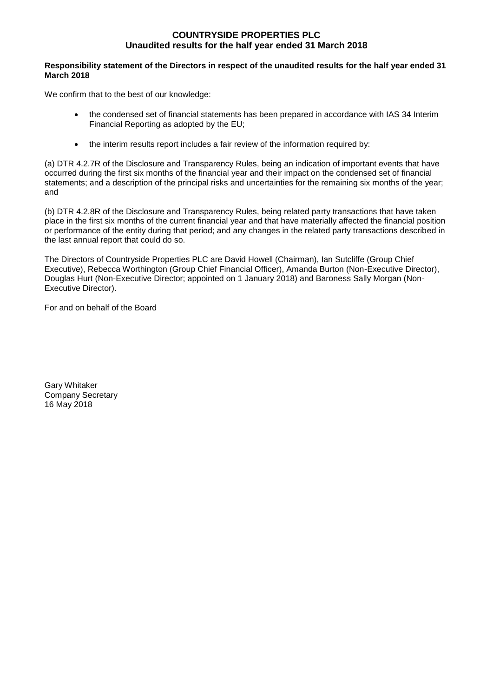### **Responsibility statement of the Directors in respect of the unaudited results for the half year ended 31 March 2018**

We confirm that to the best of our knowledge:

- the condensed set of financial statements has been prepared in accordance with IAS 34 Interim Financial Reporting as adopted by the EU;
- the interim results report includes a fair review of the information required by:

(a) DTR 4.2.7R of the Disclosure and Transparency Rules, being an indication of important events that have occurred during the first six months of the financial year and their impact on the condensed set of financial statements; and a description of the principal risks and uncertainties for the remaining six months of the year; and

(b) DTR 4.2.8R of the Disclosure and Transparency Rules, being related party transactions that have taken place in the first six months of the current financial year and that have materially affected the financial position or performance of the entity during that period; and any changes in the related party transactions described in the last annual report that could do so.

The Directors of Countryside Properties PLC are David Howell (Chairman), Ian Sutcliffe (Group Chief Executive), Rebecca Worthington (Group Chief Financial Officer), Amanda Burton (Non-Executive Director), Douglas Hurt (Non-Executive Director; appointed on 1 January 2018) and Baroness Sally Morgan (Non-Executive Director).

For and on behalf of the Board

Gary Whitaker Company Secretary 16 May 2018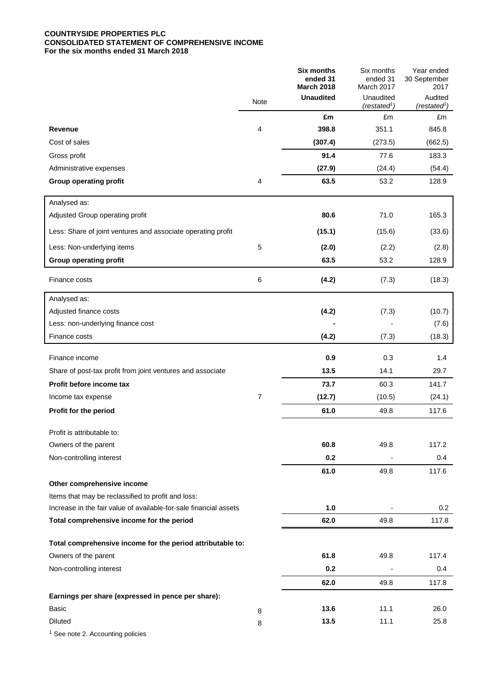### **COUNTRYSIDE PROPERTIES PLC CONSOLIDATED STATEMENT OF COMPREHENSIVE INCOME For the six months ended 31 March 2018**

|                                                                   |             | <b>Six months</b><br>ended 31 | Six months<br>ended 31              | Year ended                        |
|-------------------------------------------------------------------|-------------|-------------------------------|-------------------------------------|-----------------------------------|
|                                                                   |             | <b>March 2018</b>             | March 2017                          | 30 September<br>2017              |
|                                                                   | <b>Note</b> | <b>Unaudited</b>              | Unaudited<br>(rested <sup>1</sup> ) | Audited<br>(rested <sup>1</sup> ) |
|                                                                   |             | £m                            | £m                                  | £m                                |
| Revenue                                                           | 4           | 398.8                         | 351.1                               | 845.8                             |
| Cost of sales                                                     |             | (307.4)                       | (273.5)                             | (662.5)                           |
| Gross profit                                                      |             | 91.4                          | 77.6                                | 183.3                             |
| Administrative expenses                                           |             | (27.9)                        | (24.4)                              | (54.4)                            |
| Group operating profit                                            | 4           | 63.5                          | 53.2                                | 128.9                             |
| Analysed as:                                                      |             |                               |                                     |                                   |
| Adjusted Group operating profit                                   |             | 80.6                          | 71.0                                | 165.3                             |
| Less: Share of joint ventures and associate operating profit      |             | (15.1)                        | (15.6)                              | (33.6)                            |
| Less: Non-underlying items                                        | 5           | (2.0)                         | (2.2)                               | (2.8)                             |
| <b>Group operating profit</b>                                     |             | 63.5                          | 53.2                                | 128.9                             |
| Finance costs                                                     | 6           | (4.2)                         | (7.3)                               | (18.3)                            |
| Analysed as:                                                      |             |                               |                                     |                                   |
| Adjusted finance costs                                            |             | (4.2)                         | (7.3)                               | (10.7)                            |
| Less: non-underlying finance cost                                 |             |                               |                                     | (7.6)                             |
| Finance costs                                                     |             | (4.2)                         | (7.3)                               | (18.3)                            |
| Finance income                                                    |             | 0.9                           | 0.3                                 | 1.4                               |
| Share of post-tax profit from joint ventures and associate        |             | 13.5                          | 14.1                                | 29.7                              |
| Profit before income tax                                          |             | 73.7                          | 60.3                                | 141.7                             |
| Income tax expense                                                | 7           | (12.7)                        | (10.5)                              | (24.1)                            |
| Profit for the period                                             |             | 61.0                          | 49.8                                | 117.6                             |
| Profit is attributable to:                                        |             |                               |                                     |                                   |
| Owners of the parent                                              |             | 60.8                          | 49.8                                | 117.2                             |
| Non-controlling interest                                          |             | 0.2                           |                                     | 0.4                               |
|                                                                   |             | 61.0                          | 49.8                                | 117.6                             |
| Other comprehensive income                                        |             |                               |                                     |                                   |
| Items that may be reclassified to profit and loss:                |             |                               |                                     |                                   |
| Increase in the fair value of available-for-sale financial assets |             | 1.0                           |                                     | 0.2                               |
| Total comprehensive income for the period                         |             | 62.0                          | 49.8                                | 117.8                             |
| Total comprehensive income for the period attributable to:        |             |                               |                                     |                                   |
| Owners of the parent                                              |             | 61.8                          | 49.8                                | 117.4                             |
| Non-controlling interest                                          |             | 0.2                           |                                     | 0.4                               |
|                                                                   |             | 62.0                          | 49.8                                | 117.8                             |
| Earnings per share (expressed in pence per share):                |             |                               |                                     |                                   |
| Basic                                                             | 8           | 13.6                          | 11.1                                | 26.0                              |
| <b>Diluted</b>                                                    | 8           | 13.5                          | 11.1                                | 25.8                              |
| <sup>1</sup> See note 2. Accounting policies                      |             |                               |                                     |                                   |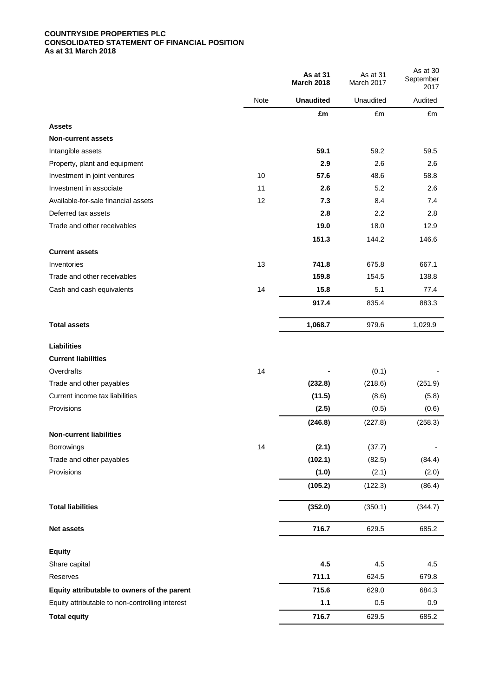### **COUNTRYSIDE PROPERTIES PLC CONSOLIDATED STATEMENT OF FINANCIAL POSITION As at 31 March 2018**

|                                                 |      | As at 31<br><b>March 2018</b> | As at 31<br>March 2017 | As at 30<br>September<br>2017 |
|-------------------------------------------------|------|-------------------------------|------------------------|-------------------------------|
|                                                 | Note | <b>Unaudited</b>              | Unaudited              | Audited                       |
|                                                 |      | £m                            | £m                     | £m                            |
| <b>Assets</b>                                   |      |                               |                        |                               |
| <b>Non-current assets</b>                       |      |                               |                        |                               |
| Intangible assets                               |      | 59.1                          | 59.2                   | 59.5                          |
| Property, plant and equipment                   |      | 2.9                           | 2.6                    | 2.6                           |
| Investment in joint ventures                    | 10   | 57.6                          | 48.6                   | 58.8                          |
| Investment in associate                         | 11   | 2.6                           | 5.2                    | 2.6                           |
| Available-for-sale financial assets             | 12   | 7.3                           | 8.4                    | 7.4                           |
| Deferred tax assets                             |      | 2.8                           | 2.2                    | 2.8                           |
| Trade and other receivables                     |      | 19.0                          | 18.0                   | 12.9                          |
|                                                 |      | 151.3                         | 144.2                  | 146.6                         |
| <b>Current assets</b>                           |      |                               |                        |                               |
| Inventories                                     | 13   | 741.8                         | 675.8                  | 667.1                         |
| Trade and other receivables                     |      | 159.8                         | 154.5                  | 138.8                         |
| Cash and cash equivalents                       | 14   | 15.8                          | 5.1                    | 77.4                          |
|                                                 |      | 917.4                         | 835.4                  | 883.3                         |
| <b>Total assets</b>                             |      | 1,068.7                       | 979.6                  | 1,029.9                       |
| <b>Liabilities</b>                              |      |                               |                        |                               |
| <b>Current liabilities</b>                      |      |                               |                        |                               |
| Overdrafts                                      | 14   |                               | (0.1)                  |                               |
| Trade and other payables                        |      | (232.8)                       | (218.6)                | (251.9)                       |
| Current income tax liabilities                  |      | (11.5)                        | (8.6)                  | (5.8)                         |
| Provisions                                      |      | (2.5)                         | (0.5)                  | (0.6)                         |
|                                                 |      | (246.8)                       | (227.8)                | (258.3)                       |
| <b>Non-current liabilities</b>                  |      |                               |                        |                               |
| Borrowings                                      | 14   | (2.1)                         | (37.7)                 |                               |
| Trade and other payables                        |      | (102.1)                       | (82.5)                 | (84.4)                        |
| Provisions                                      |      | (1.0)                         | (2.1)                  | (2.0)                         |
|                                                 |      | (105.2)                       | (122.3)                | (86.4)                        |
| <b>Total liabilities</b>                        |      | (352.0)                       | (350.1)                | (344.7)                       |
| <b>Net assets</b>                               |      | 716.7                         | 629.5                  | 685.2                         |
| <b>Equity</b>                                   |      |                               |                        |                               |
| Share capital                                   |      | 4.5                           | 4.5                    | 4.5                           |
| Reserves                                        |      | 711.1                         | 624.5                  | 679.8                         |
| Equity attributable to owners of the parent     |      | 715.6                         | 629.0                  | 684.3                         |
| Equity attributable to non-controlling interest |      | 1.1                           | 0.5                    | 0.9                           |
| <b>Total equity</b>                             |      | 716.7                         | 629.5                  | 685.2                         |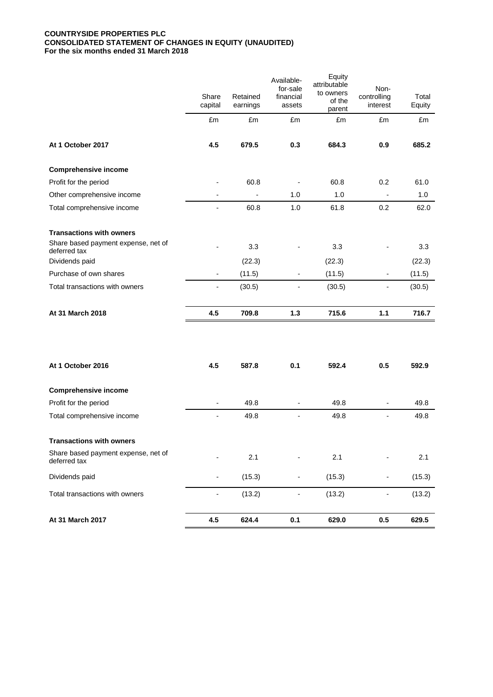### **COUNTRYSIDE PROPERTIES PLC CONSOLIDATED STATEMENT OF CHANGES IN EQUITY (UNAUDITED) For the six months ended 31 March 2018**

|                                                     | Share<br>capital         | Retained<br>earnings | Available-<br>for-sale<br>financial<br>assets | Equity<br>attributable<br>to owners<br>of the<br>parent | Non-<br>controlling<br>interest | Total<br>Equity |
|-----------------------------------------------------|--------------------------|----------------------|-----------------------------------------------|---------------------------------------------------------|---------------------------------|-----------------|
|                                                     | £m                       | £m                   | £m                                            | £m                                                      | £m                              | £m              |
| At 1 October 2017                                   | 4.5                      | 679.5                | 0.3                                           | 684.3                                                   | 0.9                             | 685.2           |
| <b>Comprehensive income</b>                         |                          |                      |                                               |                                                         |                                 |                 |
| Profit for the period                               | $\overline{\phantom{a}}$ | 60.8                 | $\overline{a}$                                | 60.8                                                    | 0.2                             | 61.0            |
| Other comprehensive income                          | $\overline{\phantom{a}}$ | ÷,                   | 1.0                                           | 1.0                                                     | $\overline{\phantom{a}}$        | 1.0             |
| Total comprehensive income                          | $\overline{\phantom{a}}$ | 60.8                 | 1.0                                           | 61.8                                                    | 0.2                             | 62.0            |
| <b>Transactions with owners</b>                     |                          |                      |                                               |                                                         |                                 |                 |
| Share based payment expense, net of<br>deferred tax |                          | 3.3                  |                                               | 3.3                                                     |                                 | 3.3             |
| Dividends paid                                      |                          | (22.3)               |                                               | (22.3)                                                  |                                 | (22.3)          |
| Purchase of own shares                              | $\overline{\phantom{a}}$ | (11.5)               | $\overline{\phantom{a}}$                      | (11.5)                                                  | $\overline{\phantom{a}}$        | (11.5)          |
| Total transactions with owners                      |                          | (30.5)               | $\overline{\phantom{a}}$                      | (30.5)                                                  | $\overline{\phantom{a}}$        | (30.5)          |
| At 31 March 2018                                    | 4.5                      | 709.8                | 1.3                                           | 715.6                                                   | 1.1                             | 716.7           |
|                                                     |                          |                      |                                               |                                                         |                                 |                 |
| At 1 October 2016                                   | 4.5                      | 587.8                | 0.1                                           | 592.4                                                   | 0.5                             | 592.9           |

| <b>Comprehensive income</b>                         |                          |        |                          |        |                          |        |
|-----------------------------------------------------|--------------------------|--------|--------------------------|--------|--------------------------|--------|
| Profit for the period                               | $\overline{\phantom{a}}$ | 49.8   | $\overline{\phantom{a}}$ | 49.8   | -                        | 49.8   |
| Total comprehensive income                          | $\overline{\phantom{a}}$ | 49.8   | $\blacksquare$           | 49.8   | $\overline{\phantom{a}}$ | 49.8   |
| <b>Transactions with owners</b>                     |                          |        |                          |        |                          |        |
| Share based payment expense, net of<br>deferred tax | $\blacksquare$           | 2.1    | $\overline{\phantom{a}}$ | 2.1    | $\blacksquare$           | 2.1    |
| Dividends paid                                      | $\overline{\phantom{a}}$ | (15.3) | $\overline{\phantom{a}}$ | (15.3) | $\overline{\phantom{a}}$ | (15.3) |
| Total transactions with owners                      | $\overline{\phantom{a}}$ | (13.2) | $\overline{\phantom{a}}$ | (13.2) | -                        | (13.2) |
| At 31 March 2017                                    | 4.5                      | 624.4  | 0.1                      | 629.0  | 0.5                      | 629.5  |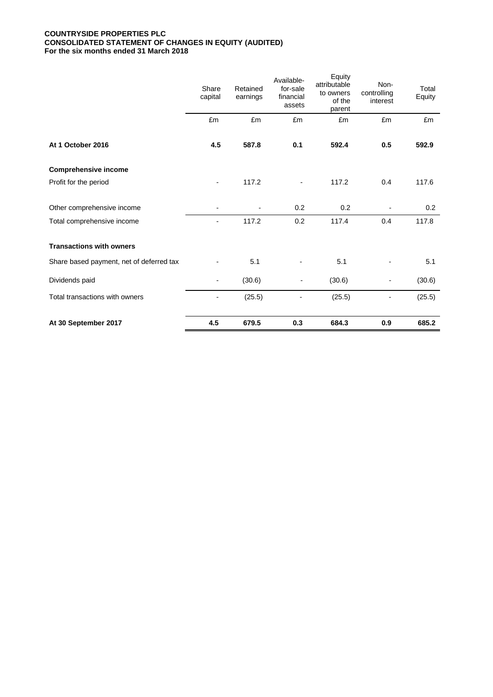### **COUNTRYSIDE PROPERTIES PLC CONSOLIDATED STATEMENT OF CHANGES IN EQUITY (AUDITED) For the six months ended 31 March 2018**

| At 30 September 2017                     | 4.5                      | 679.5                | 0.3                                           | 684.3                                                   | 0.9                             | 685.2           |
|------------------------------------------|--------------------------|----------------------|-----------------------------------------------|---------------------------------------------------------|---------------------------------|-----------------|
| Total transactions with owners           |                          | (25.5)               | $\overline{a}$                                | (25.5)                                                  | $\overline{\phantom{a}}$        | (25.5)          |
| Dividends paid                           | -                        | (30.6)               |                                               | (30.6)                                                  |                                 | (30.6)          |
| Share based payment, net of deferred tax |                          | 5.1                  | $\overline{\phantom{a}}$                      | 5.1                                                     |                                 | 5.1             |
| <b>Transactions with owners</b>          |                          |                      |                                               |                                                         |                                 |                 |
| Total comprehensive income               | $\overline{\phantom{0}}$ | 117.2                | 0.2                                           | 117.4                                                   | 0.4                             | 117.8           |
| Other comprehensive income               |                          |                      | 0.2                                           | 0.2                                                     |                                 | 0.2             |
| Profit for the period                    | -                        | 117.2                | $\overline{a}$                                | 117.2                                                   | 0.4                             | 117.6           |
| <b>Comprehensive income</b>              |                          |                      |                                               |                                                         |                                 |                 |
| At 1 October 2016                        | 4.5                      | 587.8                | 0.1                                           | 592.4                                                   | 0.5                             | 592.9           |
|                                          | £m                       | £m                   | £m                                            | £m                                                      | £m                              | £m              |
|                                          | Share<br>capital         | Retained<br>earnings | Available-<br>for-sale<br>financial<br>assets | Equity<br>attributable<br>to owners<br>of the<br>parent | Non-<br>controlling<br>interest | Total<br>Equity |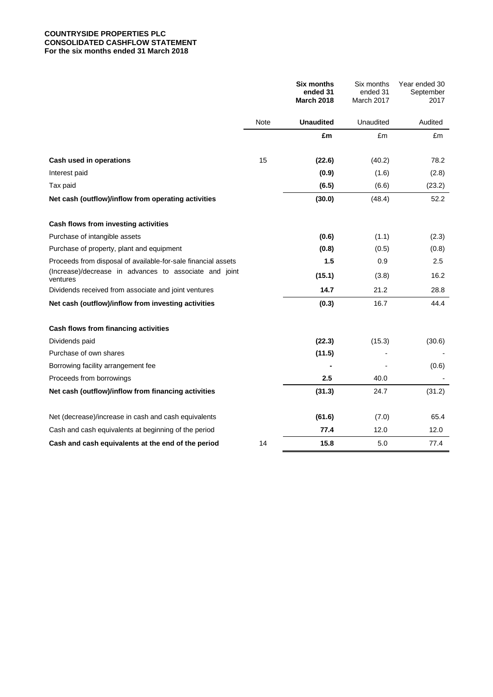### **COUNTRYSIDE PROPERTIES PLC CONSOLIDATED CASHFLOW STATEMENT For the six months ended 31 March 2018**

|                                                                    |      | <b>Six months</b><br>ended 31<br><b>March 2018</b> | Six months<br>ended 31<br>March 2017 | Year ended 30<br>September<br>2017 |
|--------------------------------------------------------------------|------|----------------------------------------------------|--------------------------------------|------------------------------------|
|                                                                    | Note | <b>Unaudited</b>                                   | Unaudited                            | Audited                            |
|                                                                    |      | £m                                                 | £m                                   | £m                                 |
| Cash used in operations                                            | 15   | (22.6)                                             | (40.2)                               | 78.2                               |
| Interest paid                                                      |      | (0.9)                                              | (1.6)                                | (2.8)                              |
| Tax paid                                                           |      | (6.5)                                              | (6.6)                                | (23.2)                             |
| Net cash (outflow)/inflow from operating activities                |      | (30.0)                                             | (48.4)                               | 52.2                               |
| Cash flows from investing activities                               |      |                                                    |                                      |                                    |
| Purchase of intangible assets                                      |      | (0.6)                                              | (1.1)                                | (2.3)                              |
| Purchase of property, plant and equipment                          |      | (0.8)                                              | (0.5)                                | (0.8)                              |
| Proceeds from disposal of available-for-sale financial assets      |      | 1.5                                                | 0.9                                  | 2.5                                |
| (Increase)/decrease in advances to associate and joint<br>ventures |      | (15.1)                                             | (3.8)                                | 16.2                               |
| Dividends received from associate and joint ventures               |      | 14.7                                               | 21.2                                 | 28.8                               |
| Net cash (outflow)/inflow from investing activities                |      | (0.3)                                              | 16.7                                 | 44.4                               |
| Cash flows from financing activities                               |      |                                                    |                                      |                                    |
| Dividends paid                                                     |      | (22.3)                                             | (15.3)                               | (30.6)                             |
| Purchase of own shares                                             |      | (11.5)                                             |                                      |                                    |
| Borrowing facility arrangement fee                                 |      |                                                    |                                      | (0.6)                              |
| Proceeds from borrowings                                           |      | 2.5                                                | 40.0                                 |                                    |
| Net cash (outflow)/inflow from financing activities                |      | (31.3)                                             | 24.7                                 | (31.2)                             |
| Net (decrease)/increase in cash and cash equivalents               |      | (61.6)                                             | (7.0)                                | 65.4                               |
| Cash and cash equivalents at beginning of the period               |      | 77.4                                               | 12.0                                 | 12.0                               |
| Cash and cash equivalents at the end of the period                 | 14   | 15.8                                               | 5.0                                  | 77.4                               |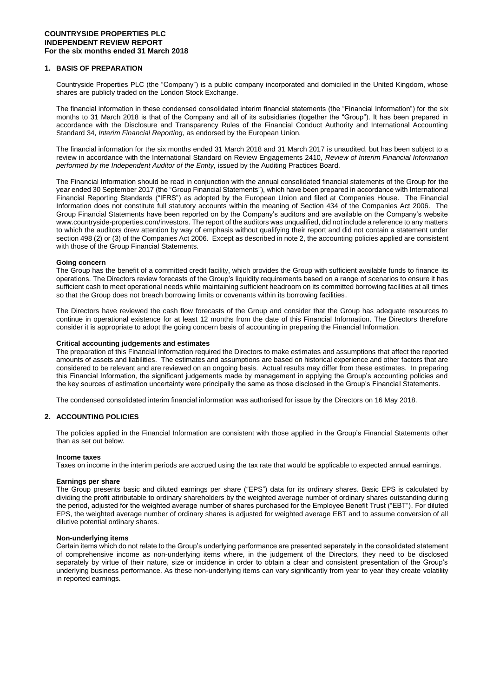### **1. BASIS OF PREPARATION**

Countryside Properties PLC (the "Company") is a public company incorporated and domiciled in the United Kingdom, whose shares are publicly traded on the London Stock Exchange.

The financial information in these condensed consolidated interim financial statements (the "Financial Information") for the six months to 31 March 2018 is that of the Company and all of its subsidiaries (together the "Group"). It has been prepared in accordance with the Disclosure and Transparency Rules of the Financial Conduct Authority and International Accounting Standard 34, *Interim Financial Reporting*, as endorsed by the European Union.

The financial information for the six months ended 31 March 2018 and 31 March 2017 is unaudited, but has been subject to a review in accordance with the International Standard on Review Engagements 2410, *Review of Interim Financial Information performed by the Independent Auditor of the Entity,* issued by the Auditing Practices Board.

The Financial Information should be read in conjunction with the annual consolidated financial statements of the Group for the year ended 30 September 2017 (the "Group Financial Statements"), which have been prepared in accordance with International Financial Reporting Standards ("IFRS") as adopted by the European Union and filed at Companies House. The Financial Information does not constitute full statutory accounts within the meaning of Section 434 of the Companies Act 2006. The Group Financial Statements have been reported on by the Company's auditors and are available on the Company's website www.countryside-properties.com/investors. The report of the auditors was unqualified, did not include a reference to any matters to which the auditors drew attention by way of emphasis without qualifying their report and did not contain a statement under section 498 (2) or (3) of the Companies Act 2006. Except as described in note 2, the accounting policies applied are consistent with those of the Group Financial Statements.

#### **Going concern**

The Group has the benefit of a committed credit facility, which provides the Group with sufficient available funds to finance its operations. The Directors review forecasts of the Group's liquidity requirements based on a range of scenarios to ensure it has sufficient cash to meet operational needs while maintaining sufficient headroom on its committed borrowing facilities at all times so that the Group does not breach borrowing limits or covenants within its borrowing facilities.

The Directors have reviewed the cash flow forecasts of the Group and consider that the Group has adequate resources to continue in operational existence for at least 12 months from the date of this Financial Information. The Directors therefore consider it is appropriate to adopt the going concern basis of accounting in preparing the Financial Information.

#### **Critical accounting judgements and estimates**

The preparation of this Financial Information required the Directors to make estimates and assumptions that affect the reported amounts of assets and liabilities. The estimates and assumptions are based on historical experience and other factors that are considered to be relevant and are reviewed on an ongoing basis. Actual results may differ from these estimates. In preparing this Financial Information, the significant judgements made by management in applying the Group's accounting policies and the key sources of estimation uncertainty were principally the same as those disclosed in the Group's Financial Statements.

The condensed consolidated interim financial information was authorised for issue by the Directors on 16 May 2018.

### **2. ACCOUNTING POLICIES**

The policies applied in the Financial Information are consistent with those applied in the Group's Financial Statements other than as set out below.

#### **Income taxes**

Taxes on income in the interim periods are accrued using the tax rate that would be applicable to expected annual earnings.

#### **Earnings per share**

The Group presents basic and diluted earnings per share ("EPS") data for its ordinary shares. Basic EPS is calculated by dividing the profit attributable to ordinary shareholders by the weighted average number of ordinary shares outstanding during the period, adjusted for the weighted average number of shares purchased for the Employee Benefit Trust ("EBT"). For diluted EPS, the weighted average number of ordinary shares is adjusted for weighted average EBT and to assume conversion of all dilutive potential ordinary shares.

#### **Non-underlying items**

Certain items which do not relate to the Group's underlying performance are presented separately in the consolidated statement of comprehensive income as non-underlying items where, in the judgement of the Directors, they need to be disclosed separately by virtue of their nature, size or incidence in order to obtain a clear and consistent presentation of the Group's underlying business performance. As these non-underlying items can vary significantly from year to year they create volatility in reported earnings.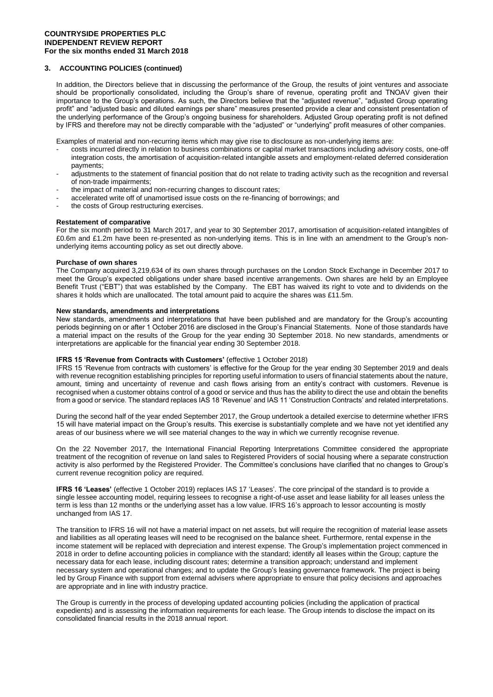### **3. ACCOUNTING POLICIES (continued)**

In addition, the Directors believe that in discussing the performance of the Group, the results of joint ventures and associate should be proportionally consolidated, including the Group's share of revenue, operating profit and TNOAV given their importance to the Group's operations. As such, the Directors believe that the "adjusted revenue", "adjusted Group operating profit" and "adjusted basic and diluted earnings per share" measures presented provide a clear and consistent presentation of the underlying performance of the Group's ongoing business for shareholders. Adjusted Group operating profit is not defined by IFRS and therefore may not be directly comparable with the "adjusted" or "underlying" profit measures of other companies.

Examples of material and non-recurring items which may give rise to disclosure as non-underlying items are:

- costs incurred directly in relation to business combinations or capital market transactions including advisory costs, one-off integration costs, the amortisation of acquisition-related intangible assets and employment-related deferred consideration payments;
- adjustments to the statement of financial position that do not relate to trading activity such as the recognition and reversal of non-trade impairments;
- the impact of material and non-recurring changes to discount rates;
- accelerated write off of unamortised issue costs on the re-financing of borrowings; and
- the costs of Group restructuring exercises.

#### **Restatement of comparative**

For the six month period to 31 March 2017, and year to 30 September 2017, amortisation of acquisition-related intangibles of £0.6m and £1.2m have been re-presented as non-underlying items. This is in line with an amendment to the Group's nonunderlying items accounting policy as set out directly above.

#### **Purchase of own shares**

The Company acquired 3,219,634 of its own shares through purchases on the London Stock Exchange in December 2017 to meet the Group's expected obligations under share based incentive arrangements. Own shares are held by an Employee Benefit Trust ("EBT") that was established by the Company. The EBT has waived its right to vote and to dividends on the shares it holds which are unallocated. The total amount paid to acquire the shares was £11.5m.

#### **New standards, amendments and interpretations**

New standards, amendments and interpretations that have been published and are mandatory for the Group's accounting periods beginning on or after 1 October 2016 are disclosed in the Group's Financial Statements. None of those standards have a material impact on the results of the Group for the year ending 30 September 2018. No new standards, amendments or interpretations are applicable for the financial year ending 30 September 2018.

#### **IFRS 15 'Revenue from Contracts with Customers'** (effective 1 October 2018)

IFRS 15 'Revenue from contracts with customers' is effective for the Group for the year ending 30 September 2019 and deals with revenue recognition establishing principles for reporting useful information to users of financial statements about the nature, amount, timing and uncertainty of revenue and cash flows arising from an entity's contract with customers. Revenue is recognised when a customer obtains control of a good or service and thus has the ability to direct the use and obtain the benefits from a good or service. The standard replaces IAS 18 'Revenue' and IAS 11 'Construction Contracts' and related interpretations.

During the second half of the year ended September 2017, the Group undertook a detailed exercise to determine whether IFRS 15 will have material impact on the Group's results. This exercise is substantially complete and we have not yet identified any areas of our business where we will see material changes to the way in which we currently recognise revenue.

On the 22 November 2017, the International Financial Reporting Interpretations Committee considered the appropriate treatment of the recognition of revenue on land sales to Registered Providers of social housing where a separate construction activity is also performed by the Registered Provider. The Committee's conclusions have clarified that no changes to Group's current revenue recognition policy are required.

**IFRS 16 'Leases'** (effective 1 October 2019) replaces IAS 17 'Leases'. The core principal of the standard is to provide a single lessee accounting model, requiring lessees to recognise a right-of-use asset and lease liability for all leases unless the term is less than 12 months or the underlying asset has a low value. IFRS 16's approach to lessor accounting is mostly unchanged from IAS 17.

The transition to IFRS 16 will not have a material impact on net assets, but will require the recognition of material lease assets and liabilities as all operating leases will need to be recognised on the balance sheet. Furthermore, rental expense in the income statement will be replaced with depreciation and interest expense. The Group's implementation project commenced in 2018 in order to define accounting policies in compliance with the standard; identify all leases within the Group; capture the necessary data for each lease, including discount rates; determine a transition approach; understand and implement necessary system and operational changes; and to update the Group's leasing governance framework. The project is being led by Group Finance with support from external advisers where appropriate to ensure that policy decisions and approaches are appropriate and in line with industry practice.

The Group is currently in the process of developing updated accounting policies (including the application of practical expedients) and is assessing the information requirements for each lease. The Group intends to disclose the impact on its consolidated financial results in the 2018 annual report.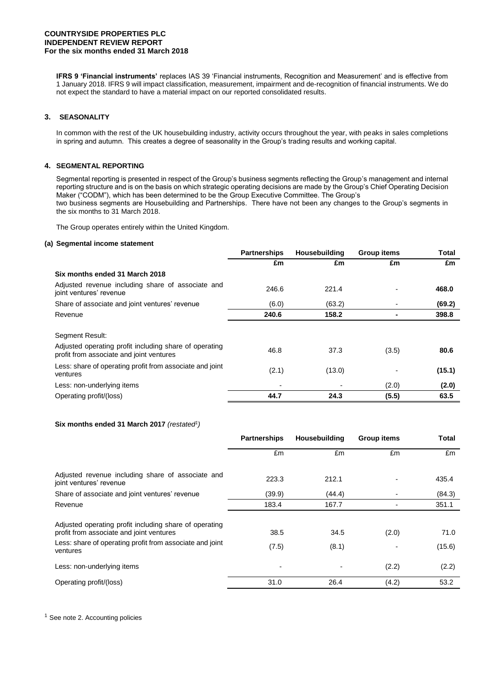**IFRS 9 'Financial instruments'** replaces IAS 39 'Financial instruments, Recognition and Measurement' and is effective from 1 January 2018. IFRS 9 will impact classification, measurement, impairment and de-recognition of financial instruments. We do not expect the standard to have a material impact on our reported consolidated results.

### **3. SEASONALITY**

In common with the rest of the UK housebuilding industry, activity occurs throughout the year, with peaks in sales completions in spring and autumn. This creates a degree of seasonality in the Group's trading results and working capital.

### **4. SEGMENTAL REPORTING**

Segmental reporting is presented in respect of the Group's business segments reflecting the Group's management and internal reporting structure and is on the basis on which strategic operating decisions are made by the Group's Chief Operating Decision Maker ("CODM"), which has been determined to be the Group Executive Committee. The Group's two business segments are Housebuilding and Partnerships. There have not been any changes to the Group's segments in the six months to 31 March 2018.

The Group operates entirely within the United Kingdom.

#### **(a) Segmental income statement**

| £m<br>£m<br>£m<br>Six months ended 31 March 2018<br>Adjusted revenue including share of associate and<br>246.6<br>221.4<br>468.0<br>joint ventures' revenue<br>Share of associate and joint ventures' revenue<br>(63.2)<br>(69.2)<br>(6.0)<br>240.6<br>158.2<br>398.8<br>Revenue | <b>Partnerships</b> | Housebuilding | Group items | Total  |
|----------------------------------------------------------------------------------------------------------------------------------------------------------------------------------------------------------------------------------------------------------------------------------|---------------------|---------------|-------------|--------|
|                                                                                                                                                                                                                                                                                  |                     |               |             | £m     |
|                                                                                                                                                                                                                                                                                  |                     |               |             |        |
|                                                                                                                                                                                                                                                                                  |                     |               |             |        |
|                                                                                                                                                                                                                                                                                  |                     |               |             |        |
|                                                                                                                                                                                                                                                                                  |                     |               |             |        |
|                                                                                                                                                                                                                                                                                  |                     |               |             |        |
| Segment Result:                                                                                                                                                                                                                                                                  |                     |               |             |        |
| Adjusted operating profit including share of operating<br>46.8<br>80.6<br>37.3<br>(3.5)<br>profit from associate and joint ventures                                                                                                                                              |                     |               |             |        |
| Less: share of operating profit from associate and joint<br>(2.1)<br>(13.0)<br>ventures                                                                                                                                                                                          |                     |               |             | (15.1) |
| Less: non-underlying items<br>(2.0)<br>(2.0)                                                                                                                                                                                                                                     |                     |               |             |        |
| 63.5<br>44.7<br>24.3<br>(5.5)<br>Operating profit/(loss)                                                                                                                                                                                                                         |                     |               |             |        |

#### **Six months ended 31 March 2017** *(restated<sup>1</sup> )*

|                                                                                                    | <b>Partnerships</b> | Housebuilding | <b>Group items</b> | <b>Total</b> |
|----------------------------------------------------------------------------------------------------|---------------------|---------------|--------------------|--------------|
|                                                                                                    | £m                  | £m            | £m                 | £m           |
| Adjusted revenue including share of associate and<br>joint ventures' revenue                       | 223.3               | 212.1         |                    | 435.4        |
| Share of associate and joint ventures' revenue                                                     | (39.9)              | (44.4)        |                    | (84.3)       |
| Revenue                                                                                            | 183.4               | 167.7         |                    | 351.1        |
| Adjusted operating profit including share of operating<br>profit from associate and joint ventures | 38.5                | 34.5          | (2.0)              | 71.0         |
| Less: share of operating profit from associate and joint<br>ventures                               | (7.5)               | (8.1)         |                    | (15.6)       |
| Less: non-underlying items                                                                         |                     |               | (2.2)              | (2.2)        |
| Operating profit/(loss)                                                                            | 31.0                | 26.4          | (4.2)              | 53.2         |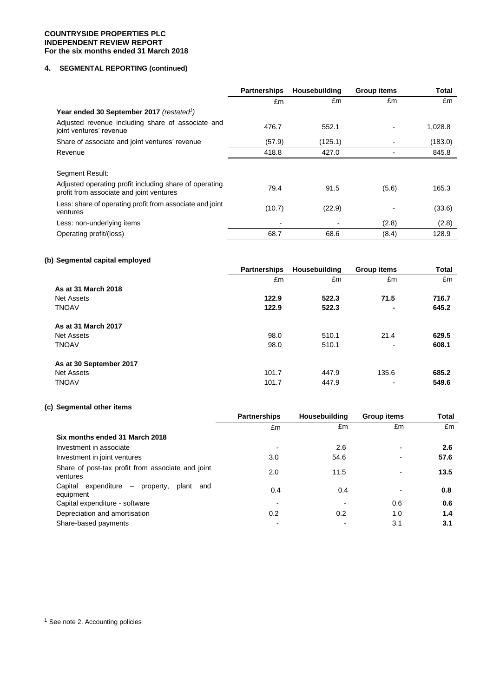## **4. SEGMENTAL REPORTING (continued)**

|                                                                                                    | <b>Partnerships</b> | Housebuilding | <b>Group items</b> | Total   |
|----------------------------------------------------------------------------------------------------|---------------------|---------------|--------------------|---------|
|                                                                                                    | £m                  | £m            | £m                 | £m      |
| Year ended 30 September 2017 (restated <sup>1</sup> )                                              |                     |               |                    |         |
| Adjusted revenue including share of associate and<br>joint ventures' revenue                       | 476.7               | 552.1         |                    | 1,028.8 |
| Share of associate and joint ventures' revenue                                                     | (57.9)              | (125.1)       |                    | (183.0) |
| Revenue                                                                                            | 418.8               | 427.0         |                    | 845.8   |
|                                                                                                    |                     |               |                    |         |
| Segment Result:                                                                                    |                     |               |                    |         |
| Adjusted operating profit including share of operating<br>profit from associate and joint ventures | 79.4                | 91.5          | (5.6)              | 165.3   |
| Less: share of operating profit from associate and joint<br>ventures                               | (10.7)              | (22.9)        |                    | (33.6)  |
| Less: non-underlying items                                                                         |                     |               | (2.8)              | (2.8)   |
| Operating profit/(loss)                                                                            | 68.7                | 68.6          | (8.4)              | 128.9   |

## **(b) Segmental capital employed**

| $\mu$ ocymchiai capital chiployed |                     |               |                    |       |
|-----------------------------------|---------------------|---------------|--------------------|-------|
|                                   | <b>Partnerships</b> | Housebuilding | <b>Group items</b> | Total |
|                                   | £m                  | £m            | £m                 | £m    |
| As at 31 March 2018               |                     |               |                    |       |
| Net Assets                        | 122.9               | 522.3         | 71.5               | 716.7 |
| <b>TNOAV</b>                      | 122.9               | 522.3         | $\blacksquare$     | 645.2 |
| As at 31 March 2017               |                     |               |                    |       |
| <b>Net Assets</b>                 | 98.0                | 510.1         | 21.4               | 629.5 |
| <b>TNOAV</b>                      | 98.0                | 510.1         | $\blacksquare$     | 608.1 |
| As at 30 September 2017           |                     |               |                    |       |
| <b>Net Assets</b>                 | 101.7               | 447.9         | 135.6              | 685.2 |
| <b>TNOAV</b>                      | 101.7               | 447.9         | $\blacksquare$     | 549.6 |
|                                   |                     |               |                    |       |

### **(c) Segmental other items**

|                                                               | <b>Partnerships</b> | Housebuilding | Group items              | Total |
|---------------------------------------------------------------|---------------------|---------------|--------------------------|-------|
|                                                               | £m                  | £m            | £m                       | £m    |
| Six months ended 31 March 2018                                |                     |               |                          |       |
| Investment in associate                                       |                     | 2.6           | $\overline{\phantom{0}}$ | 2.6   |
| Investment in joint ventures                                  | 3.0                 | 54.6          | $\overline{\phantom{0}}$ | 57.6  |
| Share of post-tax profit from associate and joint<br>ventures | 2.0                 | 11.5          |                          | 13.5  |
| Capital expenditure -<br>property,<br>plant and<br>equipment  | 0.4                 | 0.4           |                          | 0.8   |
| Capital expenditure - software                                |                     |               | 0.6                      | 0.6   |
| Depreciation and amortisation                                 | 0.2                 | 0.2           | 1.0                      | 1.4   |
| Share-based payments                                          |                     |               | 3.1                      | 3.1   |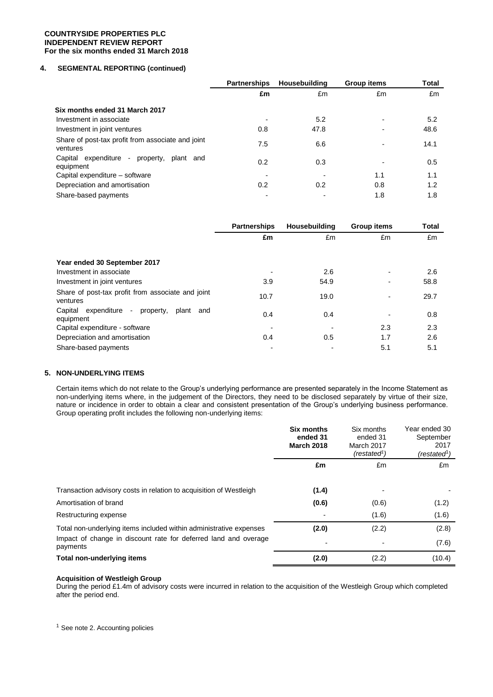### **4. SEGMENTAL REPORTING (continued)**

|                                                                      | <b>Partnerships</b> | Housebuilding | <b>Group items</b> | Total |
|----------------------------------------------------------------------|---------------------|---------------|--------------------|-------|
|                                                                      | £m                  | £m            | £m                 | £m    |
| Six months ended 31 March 2017                                       |                     |               |                    |       |
| Investment in associate                                              |                     | 5.2           |                    | 5.2   |
| Investment in joint ventures                                         | 0.8                 | 47.8          |                    | 48.6  |
| Share of post-tax profit from associate and joint<br>ventures        | 7.5                 | 6.6           |                    | 14.1  |
| Capital expenditure<br>property.<br>plant and<br>$\sim$<br>equipment | 0.2                 | 0.3           |                    | 0.5   |
| Capital expenditure – software                                       |                     |               | 1.1                | 1.1   |
| Depreciation and amortisation                                        | 0.2                 | 0.2           | 0.8                | 1.2   |
| Share-based payments                                                 |                     |               | 1.8                | 1.8   |

|                                                               | <b>Partnerships</b> | Housebuilding | <b>Group items</b> | <b>Total</b> |
|---------------------------------------------------------------|---------------------|---------------|--------------------|--------------|
|                                                               | £m                  | £m            | £m                 | £m           |
| Year ended 30 September 2017                                  |                     |               |                    |              |
| Investment in associate                                       |                     | 2.6           |                    | 2.6          |
| Investment in joint ventures                                  | 3.9                 | 54.9          |                    | 58.8         |
| Share of post-tax profit from associate and joint<br>ventures | 10.7                | 19.0          | $\blacksquare$     | 29.7         |
| Capital expenditure - property,<br>plant<br>and<br>equipment  | 0.4                 | 0.4           |                    | 0.8          |
| Capital expenditure - software                                |                     |               | 2.3                | 2.3          |
| Depreciation and amortisation                                 | 0.4                 | 0.5           | 1.7                | 2.6          |
| Share-based payments                                          |                     |               | 5.1                | 5.1          |

### **5. NON-UNDERLYING ITEMS**

Certain items which do not relate to the Group's underlying performance are presented separately in the Income Statement as non-underlying items where, in the judgement of the Directors, they need to be disclosed separately by virtue of their size, nature or incidence in order to obtain a clear and consistent presentation of the Group's underlying business performance. Group operating profit includes the following non-underlying items:

|                                                                             | Six months<br>ended 31<br><b>March 2018</b> | Six months<br>ended 31<br>March 2017<br>(restated) | Year ended 30<br>September<br>2017<br>(restated <sup>1</sup> ) |
|-----------------------------------------------------------------------------|---------------------------------------------|----------------------------------------------------|----------------------------------------------------------------|
|                                                                             | £m                                          | £m                                                 | £m                                                             |
| Transaction advisory costs in relation to acquisition of Westleigh          | (1.4)                                       |                                                    |                                                                |
| Amortisation of brand                                                       | (0.6)                                       | (0.6)                                              | (1.2)                                                          |
| Restructuring expense                                                       |                                             | (1.6)                                              | (1.6)                                                          |
| Total non-underlying items included within administrative expenses          | (2.0)                                       | (2.2)                                              | (2.8)                                                          |
| Impact of change in discount rate for deferred land and overage<br>payments |                                             |                                                    | (7.6)                                                          |
| Total non-underlying items                                                  | (2.0)                                       | (2.2)                                              | (10.4)                                                         |

### **Acquisition of Westleigh Group**

During the period £1.4m of advisory costs were incurred in relation to the acquisition of the Westleigh Group which completed after the period end.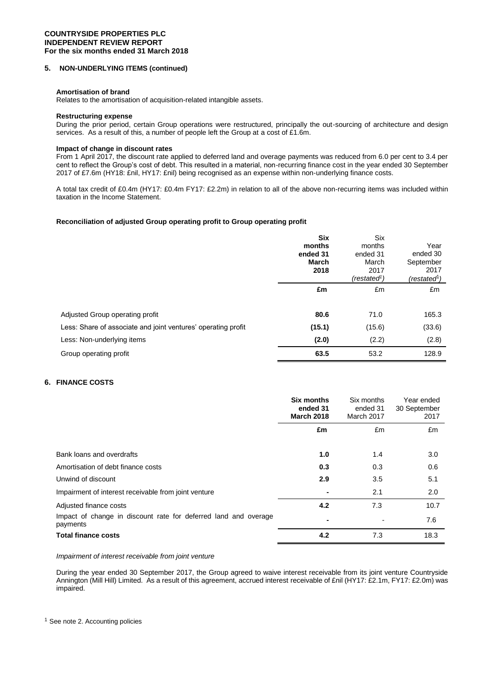### **5. NON-UNDERLYING ITEMS (continued)**

#### **Amortisation of brand**

Relates to the amortisation of acquisition-related intangible assets.

#### **Restructuring expense**

During the prior period, certain Group operations were restructured, principally the out-sourcing of architecture and design services. As a result of this, a number of people left the Group at a cost of £1.6m.

#### **Impact of change in discount rates**

From 1 April 2017, the discount rate applied to deferred land and overage payments was reduced from 6.0 per cent to 3.4 per cent to reflect the Group's cost of debt. This resulted in a material, non-recurring finance cost in the year ended 30 September 2017 of £7.6m (HY18: £nil, HY17: £nil) being recognised as an expense within non-underlying finance costs.

A total tax credit of £0.4m (HY17: £0.4m FY17: £2.2m) in relation to all of the above non-recurring items was included within taxation in the Income Statement.

### **Reconciliation of adjusted Group operating profit to Group operating profit**

|                                                               | <b>Six</b><br>months<br>ended 31<br>March<br>2018 | <b>Six</b><br>months<br>ended 31<br>March<br>2017<br>(restated <sup>1</sup> ) | Year<br>ended 30<br>September<br>2017<br>(restated <sup>1</sup> ) |
|---------------------------------------------------------------|---------------------------------------------------|-------------------------------------------------------------------------------|-------------------------------------------------------------------|
|                                                               | £m                                                | £m                                                                            | £m                                                                |
| Adjusted Group operating profit                               | 80.6                                              | 71.0                                                                          | 165.3                                                             |
| Less: Share of associate and joint ventures' operating profit | (15.1)                                            | (15.6)                                                                        | (33.6)                                                            |
| Less: Non-underlying items                                    | (2.0)                                             | (2.2)                                                                         | (2.8)                                                             |
| Group operating profit                                        | 63.5                                              | 53.2                                                                          | 128.9                                                             |

### **6. FINANCE COSTS**

|                                                                             | <b>Six months</b><br>ended 31<br><b>March 2018</b> | Six months<br>ended 31<br>March 2017 | Year ended<br>30 September<br>2017 |
|-----------------------------------------------------------------------------|----------------------------------------------------|--------------------------------------|------------------------------------|
|                                                                             | £m                                                 | £m                                   | £m                                 |
|                                                                             |                                                    |                                      |                                    |
| Bank loans and overdrafts                                                   | 1.0                                                | 1.4                                  | 3.0                                |
| Amortisation of debt finance costs                                          | 0.3                                                | 0.3                                  | 0.6                                |
| Unwind of discount                                                          | 2.9                                                | 3.5                                  | 5.1                                |
| Impairment of interest receivable from joint venture                        |                                                    | 2.1                                  | 2.0                                |
| Adjusted finance costs                                                      | 4.2                                                | 7.3                                  | 10.7                               |
| Impact of change in discount rate for deferred land and overage<br>payments |                                                    |                                      | 7.6                                |
| <b>Total finance costs</b>                                                  | 4.2                                                | 7.3                                  | 18.3                               |

*Impairment of interest receivable from joint venture*

During the year ended 30 September 2017, the Group agreed to waive interest receivable from its joint venture Countryside Annington (Mill Hill) Limited. As a result of this agreement, accrued interest receivable of £nil (HY17: £2.1m, FY17: £2.0m) was impaired.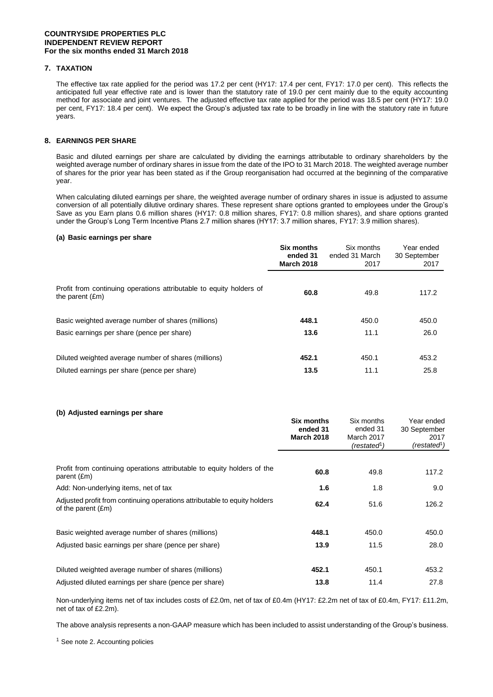### **7. TAXATION**

The effective tax rate applied for the period was 17.2 per cent (HY17: 17.4 per cent, FY17: 17.0 per cent). This reflects the anticipated full year effective rate and is lower than the statutory rate of 19.0 per cent mainly due to the equity accounting method for associate and joint ventures. The adjusted effective tax rate applied for the period was 18.5 per cent (HY17: 19.0 per cent, FY17: 18.4 per cent). We expect the Group's adjusted tax rate to be broadly in line with the statutory rate in future years.

### **8. EARNINGS PER SHARE**

Basic and diluted earnings per share are calculated by dividing the earnings attributable to ordinary shareholders by the weighted average number of ordinary shares in issue from the date of the IPO to 31 March 2018. The weighted average number of shares for the prior year has been stated as if the Group reorganisation had occurred at the beginning of the comparative year.

When calculating diluted earnings per share, the weighted average number of ordinary shares in issue is adjusted to assume conversion of all potentially dilutive ordinary shares. These represent share options granted to employees under the Group's Save as you Earn plans 0.6 million shares (HY17: 0.8 million shares, FY17: 0.8 million shares), and share options granted under the Group's Long Term Incentive Plans 2.7 million shares (HY17: 3.7 million shares, FY17: 3.9 million shares).

#### **(a) Basic earnings per share**

|                                                                                                      | Six months<br>ended 31<br><b>March 2018</b> | Six months<br>ended 31 March<br>2017 | Year ended<br>30 September<br>2017 |
|------------------------------------------------------------------------------------------------------|---------------------------------------------|--------------------------------------|------------------------------------|
| Profit from continuing operations attributable to equity holders of<br>the parent $(\text{Em})$      | 60.8                                        | 49.8                                 | 117.2                              |
| Basic weighted average number of shares (millions)                                                   | 448.1                                       | 450.0                                | 450.0                              |
| Basic earnings per share (pence per share)                                                           | 13.6                                        | 11.1                                 | 26.0                               |
| Diluted weighted average number of shares (millions)<br>Diluted earnings per share (pence per share) | 452.1<br>13.5                               | 450.1<br>11.1                        | 453.2<br>25.8                      |

#### **(b) Adjusted earnings per share**

|                                                                                                          | <b>Six months</b><br>ended 31<br><b>March 2018</b> | Six months<br>ended 31<br>March 2017<br>(restated <sup>1</sup> ) | Year ended<br>30 September<br>2017<br>(restated <sup>1</sup> ) |
|----------------------------------------------------------------------------------------------------------|----------------------------------------------------|------------------------------------------------------------------|----------------------------------------------------------------|
|                                                                                                          |                                                    |                                                                  |                                                                |
| Profit from continuing operations attributable to equity holders of the<br>parent (£m)                   | 60.8                                               | 49.8                                                             | 117.2                                                          |
| Add: Non-underlying items, net of tax                                                                    | 1.6                                                | 1.8                                                              | 9.0                                                            |
| Adjusted profit from continuing operations attributable to equity holders<br>of the parent $(\text{Em})$ | 62.4                                               | 51.6                                                             | 126.2                                                          |
| Basic weighted average number of shares (millions)                                                       | 448.1                                              | 450.0                                                            | 450.0                                                          |
| Adjusted basic earnings per share (pence per share)                                                      | 13.9                                               | 11.5                                                             | 28.0                                                           |
| Diluted weighted average number of shares (millions)                                                     | 452.1                                              | 450.1                                                            | 453.2                                                          |
| Adjusted diluted earnings per share (pence per share)                                                    | 13.8                                               | 11.4                                                             | 27.8                                                           |

Non-underlying items net of tax includes costs of £2.0m, net of tax of £0.4m (HY17: £2.2m net of tax of £0.4m, FY17: £11.2m, net of tax of £2.2m).

The above analysis represents a non-GAAP measure which has been included to assist understanding of the Group's business.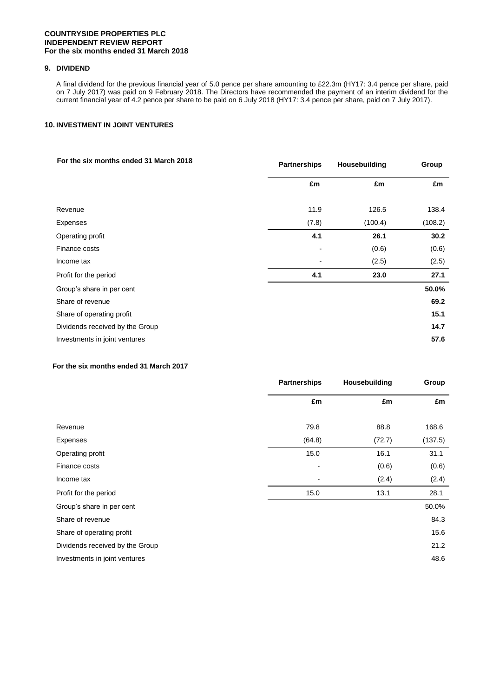### **9. DIVIDEND**

A final dividend for the previous financial year of 5.0 pence per share amounting to £22.3m (HY17: 3.4 pence per share, paid on 7 July 2017) was paid on 9 February 2018. The Directors have recommended the payment of an interim dividend for the current financial year of 4.2 pence per share to be paid on 6 July 2018 (HY17: 3.4 pence per share, paid on 7 July 2017).

### **10. INVESTMENT IN JOINT VENTURES**

| For the six months ended 31 March 2018 | <b>Partnerships</b>      | Housebuilding | Group   |
|----------------------------------------|--------------------------|---------------|---------|
|                                        | £m                       | £m            | £m      |
| Revenue                                | 11.9                     | 126.5         | 138.4   |
| Expenses                               | (7.8)                    | (100.4)       | (108.2) |
| Operating profit                       | 4.1                      | 26.1          | 30.2    |
| Finance costs                          | $\overline{\phantom{a}}$ | (0.6)         | (0.6)   |
| Income tax                             | $\overline{\phantom{a}}$ | (2.5)         | (2.5)   |
| Profit for the period                  | 4.1                      | 23.0          | 27.1    |
| Group's share in per cent              |                          |               | 50.0%   |
| Share of revenue                       |                          |               | 69.2    |
| Share of operating profit              |                          |               | 15.1    |
| Dividends received by the Group        |                          |               | 14.7    |
| Investments in joint ventures          |                          |               | 57.6    |

### **For the six months ended 31 March 2017**

|                                 | <b>Partnerships</b> | Housebuilding | Group   |
|---------------------------------|---------------------|---------------|---------|
|                                 | £m                  | £m            | £m      |
| Revenue                         | 79.8                | 88.8          | 168.6   |
| Expenses                        | (64.8)              | (72.7)        | (137.5) |
| Operating profit                | 15.0                | 16.1          | 31.1    |
| Finance costs                   | -                   | (0.6)         | (0.6)   |
| Income tax                      |                     | (2.4)         | (2.4)   |
| Profit for the period           | 15.0                | 13.1          | 28.1    |
| Group's share in per cent       |                     |               | 50.0%   |
| Share of revenue                |                     |               | 84.3    |
| Share of operating profit       |                     |               | 15.6    |
| Dividends received by the Group |                     |               | 21.2    |
| Investments in joint ventures   |                     |               | 48.6    |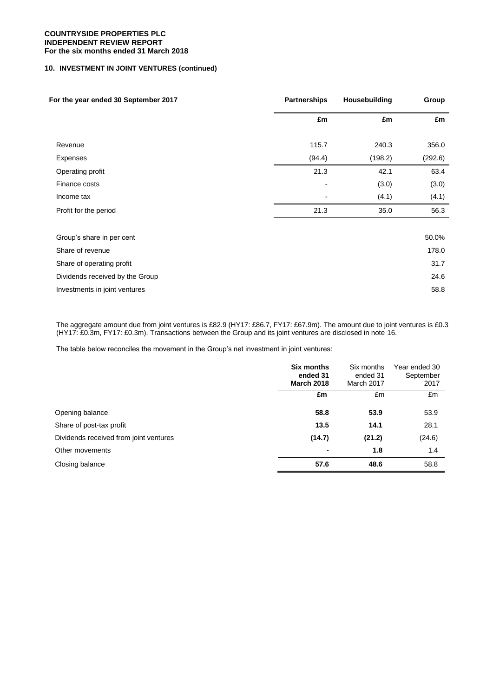## **10. INVESTMENT IN JOINT VENTURES (continued)**

| For the year ended 30 September 2017 | <b>Partnerships</b> | Housebuilding | Group   |
|--------------------------------------|---------------------|---------------|---------|
|                                      | £m                  | £m            | £m      |
| Revenue                              | 115.7               | 240.3         | 356.0   |
| Expenses                             | (94.4)              | (198.2)       | (292.6) |
| Operating profit                     | 21.3                | 42.1          | 63.4    |
| Finance costs                        |                     | (3.0)         | (3.0)   |
| Income tax                           |                     | (4.1)         | (4.1)   |
| Profit for the period                | 21.3                | 35.0          | 56.3    |
| Group's share in per cent            |                     |               | 50.0%   |
|                                      |                     |               |         |
| Share of revenue                     |                     |               | 178.0   |
| Share of operating profit            |                     |               | 31.7    |
| Dividends received by the Group      |                     |               | 24.6    |
| Investments in joint ventures        |                     |               | 58.8    |

The aggregate amount due from joint ventures is £82.9 (HY17: £86.7, FY17: £67.9m). The amount due to joint ventures is £0.3 (HY17: £0.3m, FY17: £0.3m). Transactions between the Group and its joint ventures are disclosed in note 16.

The table below reconciles the movement in the Group's net investment in joint ventures:

|                                        | Six months<br>ended 31<br><b>March 2018</b> | Six months<br>ended 31<br>March 2017 | Year ended 30<br>September<br>2017 |
|----------------------------------------|---------------------------------------------|--------------------------------------|------------------------------------|
|                                        | £m                                          | £m                                   | £m                                 |
| Opening balance                        | 58.8                                        | 53.9                                 | 53.9                               |
| Share of post-tax profit               | 13.5                                        | 14.1                                 | 28.1                               |
| Dividends received from joint ventures | (14.7)                                      | (21.2)                               | (24.6)                             |
| Other movements                        |                                             | 1.8                                  | 1.4                                |
| Closing balance                        | 57.6                                        | 48.6                                 | 58.8                               |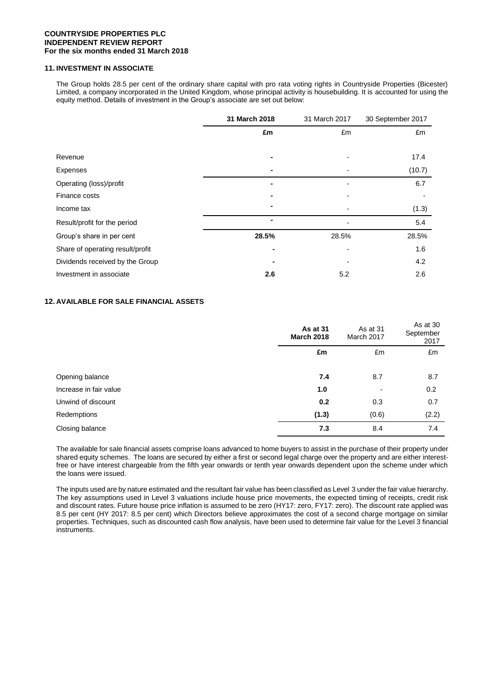### **11. INVESTMENT IN ASSOCIATE**

The Group holds 28.5 per cent of the ordinary share capital with pro rata voting rights in Countryside Properties (Bicester) Limited, a company incorporated in the United Kingdom, whose principal activity is housebuilding. It is accounted for using the equity method. Details of investment in the Group's associate are set out below:

|                                  | 31 March 2018<br>31 March 2017 |       | 30 September 2017 |  |
|----------------------------------|--------------------------------|-------|-------------------|--|
|                                  | £m                             | £m    | £m                |  |
|                                  |                                |       |                   |  |
| Revenue                          |                                |       | 17.4              |  |
| Expenses                         |                                |       | (10.7)            |  |
| Operating (loss)/profit          |                                |       | 6.7               |  |
| Finance costs                    |                                |       |                   |  |
| Income tax                       |                                |       | (1.3)             |  |
| Result/profit for the period     | ۰                              |       | 5.4               |  |
| Group's share in per cent        | 28.5%                          | 28.5% | 28.5%             |  |
| Share of operating result/profit |                                |       | 1.6               |  |
| Dividends received by the Group  |                                |       | 4.2               |  |
| Investment in associate          | 2.6                            | 5.2   | 2.6               |  |

### **12. AVAILABLE FOR SALE FINANCIAL ASSETS**

|                        | <b>As at 31</b><br><b>March 2018</b> | As at 31<br>March 2017   | As at 30<br>September<br>2017 |  |
|------------------------|--------------------------------------|--------------------------|-------------------------------|--|
|                        | £m                                   | £m                       | £m                            |  |
| Opening balance        | 7.4                                  | 8.7                      | 8.7                           |  |
| Increase in fair value | 1.0                                  | $\overline{\phantom{a}}$ | 0.2                           |  |
| Unwind of discount     | 0.2                                  | 0.3                      | 0.7                           |  |
| Redemptions            | (1.3)                                | (0.6)                    | (2.2)                         |  |
| Closing balance        | 7.3                                  | 8.4                      | 7.4                           |  |

The available for sale financial assets comprise loans advanced to home buyers to assist in the purchase of their property under shared equity schemes. The loans are secured by either a first or second legal charge over the property and are either interestfree or have interest chargeable from the fifth year onwards or tenth year onwards dependent upon the scheme under which the loans were issued.

The inputs used are by nature estimated and the resultant fair value has been classified as Level 3 under the fair value hierarchy. The key assumptions used in Level 3 valuations include house price movements, the expected timing of receipts, credit risk and discount rates. Future house price inflation is assumed to be zero (HY17: zero, FY17: zero). The discount rate applied was 8.5 per cent (HY 2017: 8.5 per cent) which Directors believe approximates the cost of a second charge mortgage on similar properties. Techniques, such as discounted cash flow analysis, have been used to determine fair value for the Level 3 financial instruments.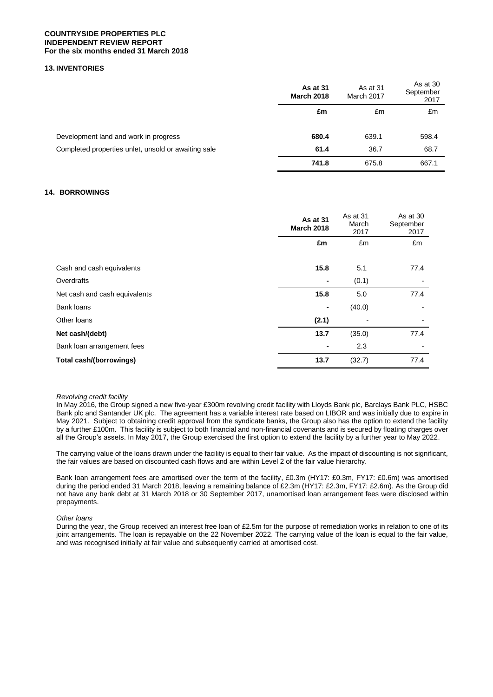### **13. INVENTORIES**

|                                                     | <b>As at 31</b><br><b>March 2018</b> | As at 31<br>March 2017 | As at 30<br>September<br>2017 |  |
|-----------------------------------------------------|--------------------------------------|------------------------|-------------------------------|--|
|                                                     | £m                                   | £m                     | £m                            |  |
| Development land and work in progress               | 680.4                                | 639.1                  | 598.4                         |  |
| Completed properties unlet, unsold or awaiting sale | 61.4                                 | 36.7                   | 68.7                          |  |
|                                                     | 741.8                                | 675.8                  | 667.1                         |  |

#### **14. BORROWINGS**

|                                | As at 31<br><b>March 2018</b> | As at 31<br>March<br>2017 | As at 30<br>September<br>2017 |
|--------------------------------|-------------------------------|---------------------------|-------------------------------|
|                                | £m                            | £m                        | £m                            |
| Cash and cash equivalents      | 15.8                          | 5.1                       | 77.4                          |
| Overdrafts                     | ٠                             | (0.1)                     |                               |
| Net cash and cash equivalents  | 15.8                          | 5.0                       | 77.4                          |
| Bank loans                     | ۰                             | (40.0)                    |                               |
| Other loans                    | (2.1)                         |                           |                               |
| Net cash/(debt)                | 13.7                          | (35.0)                    | 77.4                          |
| Bank loan arrangement fees     |                               | 2.3                       |                               |
| <b>Total cash/(borrowings)</b> | 13.7                          | (32.7)                    | 77.4                          |

#### *Revolving credit facility*

In May 2016, the Group signed a new five-year £300m revolving credit facility with Lloyds Bank plc, Barclays Bank PLC, HSBC Bank plc and Santander UK plc. The agreement has a variable interest rate based on LIBOR and was initially due to expire in May 2021. Subject to obtaining credit approval from the syndicate banks, the Group also has the option to extend the facility by a further £100m. This facility is subject to both financial and non-financial covenants and is secured by floating charges over all the Group's assets. In May 2017, the Group exercised the first option to extend the facility by a further year to May 2022.

The carrying value of the loans drawn under the facility is equal to their fair value. As the impact of discounting is not significant, the fair values are based on discounted cash flows and are within Level 2 of the fair value hierarchy.

Bank loan arrangement fees are amortised over the term of the facility, £0.3m (HY17: £0.3m, FY17: £0.6m) was amortised during the period ended 31 March 2018, leaving a remaining balance of £2.3m (HY17: £2.3m, FY17: £2.6m). As the Group did not have any bank debt at 31 March 2018 or 30 September 2017, unamortised loan arrangement fees were disclosed within prepayments.

#### *Other loans*

During the year, the Group received an interest free loan of £2.5m for the purpose of remediation works in relation to one of its joint arrangements. The loan is repayable on the 22 November 2022. The carrying value of the loan is equal to the fair value, and was recognised initially at fair value and subsequently carried at amortised cost.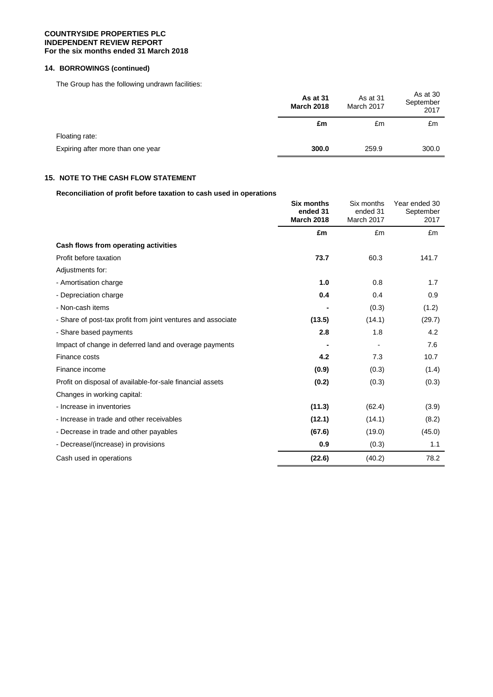## **14. BORROWINGS (continued)**

The Group has the following undrawn facilities:

|                                   | As at 31<br><b>March 2018</b> | As at 31<br>March 2017 | As at 30<br>September<br>2017 |
|-----------------------------------|-------------------------------|------------------------|-------------------------------|
|                                   | £m                            | £m                     | £m                            |
| Floating rate:                    |                               |                        |                               |
| Expiring after more than one year | 300.0                         | 259.9                  | 300.0                         |

# **15. NOTE TO THE CASH FLOW STATEMENT**

### **Reconciliation of profit before taxation to cash used in operations**

|                                                              | <b>Six months</b><br>ended 31<br><b>March 2018</b> | Six months<br>ended 31<br>March 2017 | Year ended 30<br>September<br>2017 |
|--------------------------------------------------------------|----------------------------------------------------|--------------------------------------|------------------------------------|
|                                                              | £m                                                 | £m                                   | £m                                 |
| Cash flows from operating activities                         |                                                    |                                      |                                    |
| Profit before taxation                                       | 73.7                                               | 60.3                                 | 141.7                              |
| Adjustments for:                                             |                                                    |                                      |                                    |
| - Amortisation charge                                        | 1.0                                                | 0.8                                  | 1.7                                |
| - Depreciation charge                                        | 0.4                                                | 0.4                                  | 0.9                                |
| - Non-cash items                                             |                                                    | (0.3)                                | (1.2)                              |
| - Share of post-tax profit from joint ventures and associate | (13.5)                                             | (14.1)                               | (29.7)                             |
| - Share based payments                                       | 2.8                                                | 1.8                                  | 4.2                                |
| Impact of change in deferred land and overage payments       |                                                    |                                      | 7.6                                |
| Finance costs                                                | 4.2                                                | 7.3                                  | 10.7                               |
| Finance income                                               | (0.9)                                              | (0.3)                                | (1.4)                              |
| Profit on disposal of available-for-sale financial assets    | (0.2)                                              | (0.3)                                | (0.3)                              |
| Changes in working capital:                                  |                                                    |                                      |                                    |
| - Increase in inventories                                    | (11.3)                                             | (62.4)                               | (3.9)                              |
| - Increase in trade and other receivables                    | (12.1)                                             | (14.1)                               | (8.2)                              |
| - Decrease in trade and other payables                       | (67.6)                                             | (19.0)                               | (45.0)                             |
| - Decrease/(increase) in provisions                          | 0.9                                                | (0.3)                                | 1.1                                |
| Cash used in operations                                      | (22.6)                                             | (40.2)                               | 78.2                               |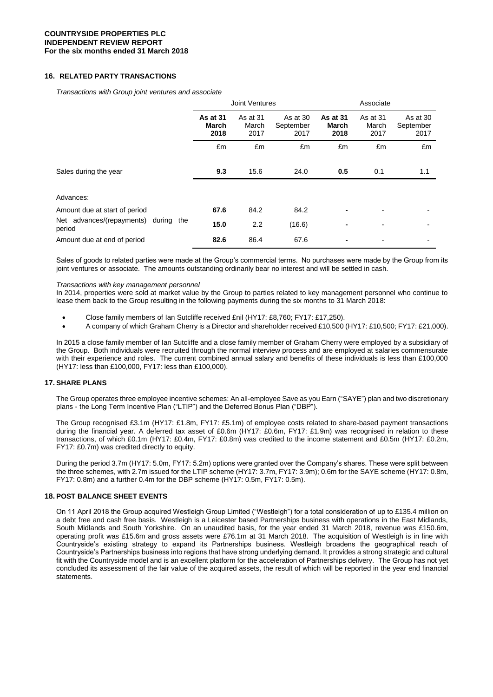### **16. RELATED PARTY TRANSACTIONS**

*Transactions with Group joint ventures and associate*

|                                                   | <b>Joint Ventures</b>     |                           |                               | Associate                 |                           |                               |
|---------------------------------------------------|---------------------------|---------------------------|-------------------------------|---------------------------|---------------------------|-------------------------------|
|                                                   | As at 31<br>March<br>2018 | As at 31<br>March<br>2017 | As at 30<br>September<br>2017 | As at 31<br>March<br>2018 | As at 31<br>March<br>2017 | As at 30<br>September<br>2017 |
|                                                   | £m                        | £m                        | £m                            | £m                        | £m                        | £m                            |
| Sales during the year                             | 9.3                       | 15.6                      | 24.0                          | 0.5                       | 0.1                       | 1.1                           |
| Advances:                                         |                           |                           |                               |                           |                           |                               |
| Amount due at start of period                     | 67.6                      | 84.2                      | 84.2                          |                           |                           |                               |
| Net advances/(repayments)<br>during the<br>period | 15.0                      | 2.2                       | (16.6)                        |                           |                           |                               |
| Amount due at end of period                       | 82.6                      | 86.4                      | 67.6                          |                           | $\overline{\phantom{0}}$  |                               |

Sales of goods to related parties were made at the Group's commercial terms. No purchases were made by the Group from its joint ventures or associate. The amounts outstanding ordinarily bear no interest and will be settled in cash.

#### *Transactions with key management personnel*

In 2014, properties were sold at market value by the Group to parties related to key management personnel who continue to lease them back to the Group resulting in the following payments during the six months to 31 March 2018:

- Close family members of Ian Sutcliffe received £nil (HY17: £8,760; FY17: £17,250).
- A company of which Graham Cherry is a Director and shareholder received £10,500 (HY17: £10,500; FY17: £21,000).

In 2015 a close family member of Ian Sutcliffe and a close family member of Graham Cherry were employed by a subsidiary of the Group. Both individuals were recruited through the normal interview process and are employed at salaries commensurate with their experience and roles. The current combined annual salary and benefits of these individuals is less than £100,000 (HY17: less than £100,000, FY17: less than £100,000).

### **17. SHARE PLANS**

The Group operates three employee incentive schemes: An all-employee Save as you Earn ("SAYE") plan and two discretionary plans - the Long Term Incentive Plan ("LTIP") and the Deferred Bonus Plan ("DBP").

The Group recognised £3.1m (HY17: £1.8m, FY17: £5.1m) of employee costs related to share-based payment transactions during the financial year. A deferred tax asset of £0.6m (HY17: £0.6m, FY17: £1.9m) was recognised in relation to these transactions, of which £0.1m (HY17: £0.4m, FY17: £0.8m) was credited to the income statement and £0.5m (HY17: £0.2m, FY17: £0.7m) was credited directly to equity.

During the period 3.7m (HY17: 5.0m, FY17: 5.2m) options were granted over the Company's shares. These were split between the three schemes, with 2.7m issued for the LTIP scheme (HY17: 3.7m, FY17: 3.9m); 0.6m for the SAYE scheme (HY17: 0.8m, FY17: 0.8m) and a further 0.4m for the DBP scheme (HY17: 0.5m, FY17: 0.5m).

### **18. POST BALANCE SHEET EVENTS**

On 11 April 2018 the Group acquired Westleigh Group Limited ("Westleigh") for a total consideration of up to £135.4 million on a debt free and cash free basis. Westleigh is a Leicester based Partnerships business with operations in the East Midlands, South Midlands and South Yorkshire. On an unaudited basis, for the year ended 31 March 2018, revenue was £150.6m, operating profit was £15.6m and gross assets were £76.1m at 31 March 2018. The acquisition of Westleigh is in line with Countryside's existing strategy to expand its Partnerships business. Westleigh broadens the geographical reach of Countryside's Partnerships business into regions that have strong underlying demand. It provides a strong strategic and cultural fit with the Countryside model and is an excellent platform for the acceleration of Partnerships delivery. The Group has not yet concluded its assessment of the fair value of the acquired assets, the result of which will be reported in the year end financial statements.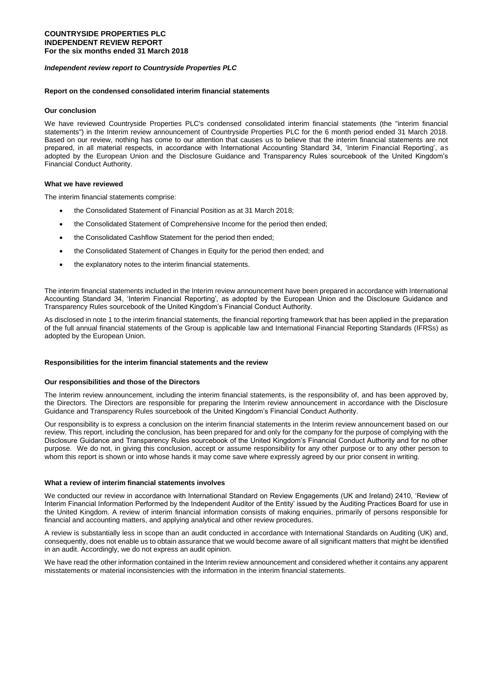#### *Independent review report to Countryside Properties PLC*

#### **Report on the condensed consolidated interim financial statements**

#### **Our conclusion**

We have reviewed Countryside Properties PLC's condensed consolidated interim financial statements (the "interim financial statements") in the Interim review announcement of Countryside Properties PLC for the 6 month period ended 31 March 2018. Based on our review, nothing has come to our attention that causes us to believe that the interim financial statements are not prepared, in all material respects, in accordance with International Accounting Standard 34, 'Interim Financial Reporting', as adopted by the European Union and the Disclosure Guidance and Transparency Rules sourcebook of the United Kingdom's Financial Conduct Authority.

#### **What we have reviewed**

The interim financial statements comprise:

- the Consolidated Statement of Financial Position as at 31 March 2018;
- the Consolidated Statement of Comprehensive Income for the period then ended;
- the Consolidated Cashflow Statement for the period then ended;
- the Consolidated Statement of Changes in Equity for the period then ended; and
- the explanatory notes to the interim financial statements.

The interim financial statements included in the Interim review announcement have been prepared in accordance with International Accounting Standard 34, 'Interim Financial Reporting', as adopted by the European Union and the Disclosure Guidance and Transparency Rules sourcebook of the United Kingdom's Financial Conduct Authority.

As disclosed in note 1 to the interim financial statements, the financial reporting framework that has been applied in the preparation of the full annual financial statements of the Group is applicable law and International Financial Reporting Standards (IFRSs) as adopted by the European Union.

#### **Responsibilities for the interim financial statements and the review**

#### **Our responsibilities and those of the Directors**

The Interim review announcement, including the interim financial statements, is the responsibility of, and has been approved by, the Directors. The Directors are responsible for preparing the Interim review announcement in accordance with the Disclosure Guidance and Transparency Rules sourcebook of the United Kingdom's Financial Conduct Authority.

Our responsibility is to express a conclusion on the interim financial statements in the Interim review announcement based on our review. This report, including the conclusion, has been prepared for and only for the company for the purpose of complying with the Disclosure Guidance and Transparency Rules sourcebook of the United Kingdom's Financial Conduct Authority and for no other purpose. We do not, in giving this conclusion, accept or assume responsibility for any other purpose or to any other person to whom this report is shown or into whose hands it may come save where expressly agreed by our prior consent in writing.

#### **What a review of interim financial statements involves**

We conducted our review in accordance with International Standard on Review Engagements (UK and Ireland) 2410, 'Review of Interim Financial Information Performed by the Independent Auditor of the Entity' issued by the Auditing Practices Board for use in the United Kingdom. A review of interim financial information consists of making enquiries, primarily of persons responsible for financial and accounting matters, and applying analytical and other review procedures.

A review is substantially less in scope than an audit conducted in accordance with International Standards on Auditing (UK) and, consequently, does not enable us to obtain assurance that we would become aware of all significant matters that might be identified in an audit. Accordingly, we do not express an audit opinion.

We have read the other information contained in the Interim review announcement and considered whether it contains any apparent misstatements or material inconsistencies with the information in the interim financial statements.